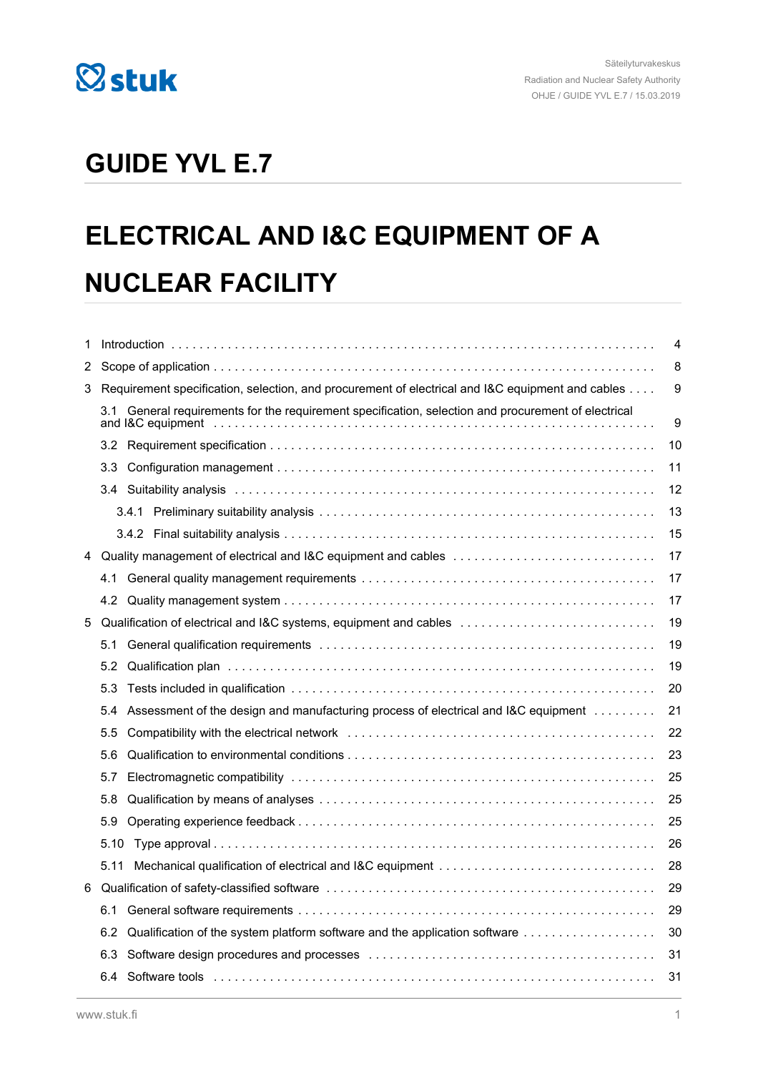

## **GUIDE YVL E.7**

# **ELECTRICAL AND I&C EQUIPMENT OF A NUCLEAR FACILITY**

| 1 | 4                                                                                                   |                                                                                                  |    |
|---|-----------------------------------------------------------------------------------------------------|--------------------------------------------------------------------------------------------------|----|
| 2 |                                                                                                     |                                                                                                  | 8  |
| 3 |                                                                                                     | Requirement specification, selection, and procurement of electrical and I&C equipment and cables | 9  |
|   | 3.1 General requirements for the requirement specification, selection and procurement of electrical |                                                                                                  |    |
|   |                                                                                                     |                                                                                                  | 10 |
|   | 3.3                                                                                                 |                                                                                                  | 11 |
|   |                                                                                                     |                                                                                                  | 12 |
|   |                                                                                                     |                                                                                                  | 13 |
|   |                                                                                                     |                                                                                                  | 15 |
| 4 |                                                                                                     | Quality management of electrical and I&C equipment and cables                                    | 17 |
|   | 4.1                                                                                                 |                                                                                                  | 17 |
|   |                                                                                                     |                                                                                                  | 17 |
| 5 |                                                                                                     | Qualification of electrical and I&C systems, equipment and cables                                | 19 |
|   | 5.1                                                                                                 |                                                                                                  | 19 |
|   | 5.2                                                                                                 |                                                                                                  | 19 |
|   | 5.3                                                                                                 |                                                                                                  | 20 |
|   | 5.4                                                                                                 | Assessment of the design and manufacturing process of electrical and I&C equipment               | 21 |
|   | $5.5\,$                                                                                             |                                                                                                  | 22 |
|   | 5.6                                                                                                 |                                                                                                  | 23 |
|   | 5.7                                                                                                 |                                                                                                  | 25 |
|   | 5.8                                                                                                 |                                                                                                  | 25 |
|   | 5.9                                                                                                 |                                                                                                  | 25 |
|   | 5.10                                                                                                |                                                                                                  | 26 |
|   | 5.11                                                                                                |                                                                                                  | 28 |
| 6 |                                                                                                     |                                                                                                  | 29 |
|   | 6.1                                                                                                 |                                                                                                  | 29 |
|   | 6.2                                                                                                 | Qualification of the system platform software and the application software                       | 30 |
|   | 6.3                                                                                                 |                                                                                                  | 31 |
|   | 6.4                                                                                                 |                                                                                                  | 31 |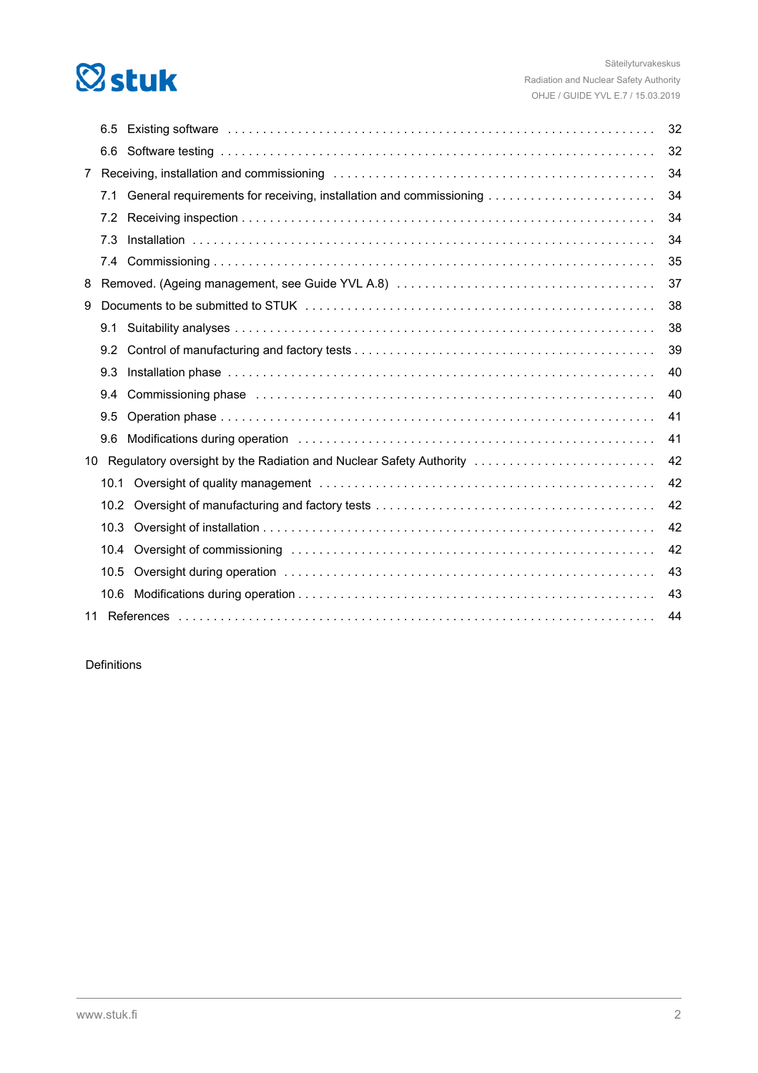

|                | 6.5  | Existing software with the contract of the contract of the contract of the contract of the contract of the contract of the contract of the contract of the contract of the contract of the contract of the contract of the con | 32 |  |  |
|----------------|------|--------------------------------------------------------------------------------------------------------------------------------------------------------------------------------------------------------------------------------|----|--|--|
|                | 6.6  |                                                                                                                                                                                                                                | 32 |  |  |
| $\overline{7}$ |      |                                                                                                                                                                                                                                | 34 |  |  |
|                | 7.1  | General requirements for receiving, installation and commissioning                                                                                                                                                             | 34 |  |  |
|                | 7.2  |                                                                                                                                                                                                                                | 34 |  |  |
|                | 7.3  |                                                                                                                                                                                                                                | 34 |  |  |
|                |      |                                                                                                                                                                                                                                | 35 |  |  |
| 8              |      |                                                                                                                                                                                                                                | 37 |  |  |
| 9              |      |                                                                                                                                                                                                                                | 38 |  |  |
|                | 9.1  |                                                                                                                                                                                                                                | 38 |  |  |
|                | 9.2  |                                                                                                                                                                                                                                | 39 |  |  |
|                | 9.3  |                                                                                                                                                                                                                                | 40 |  |  |
|                | 9.4  | Commissioning phase expansion of the contract of the contract of the contract of the contract of the contract of the contract of the contract of the contract of the contract of the contract of the contract of the contract  | 40 |  |  |
|                | 9.5  |                                                                                                                                                                                                                                | 41 |  |  |
|                | 9.6  |                                                                                                                                                                                                                                | 41 |  |  |
| 10             |      | Regulatory oversight by the Radiation and Nuclear Safety Authority                                                                                                                                                             | 42 |  |  |
|                | 10.1 |                                                                                                                                                                                                                                | 42 |  |  |
|                | 10.2 |                                                                                                                                                                                                                                | 42 |  |  |
|                | 10.3 |                                                                                                                                                                                                                                | 42 |  |  |
|                | 10.4 |                                                                                                                                                                                                                                | 42 |  |  |
|                | 10.5 |                                                                                                                                                                                                                                | 43 |  |  |
|                | 10.6 |                                                                                                                                                                                                                                | 43 |  |  |
|                | 44   |                                                                                                                                                                                                                                |    |  |  |

Definitions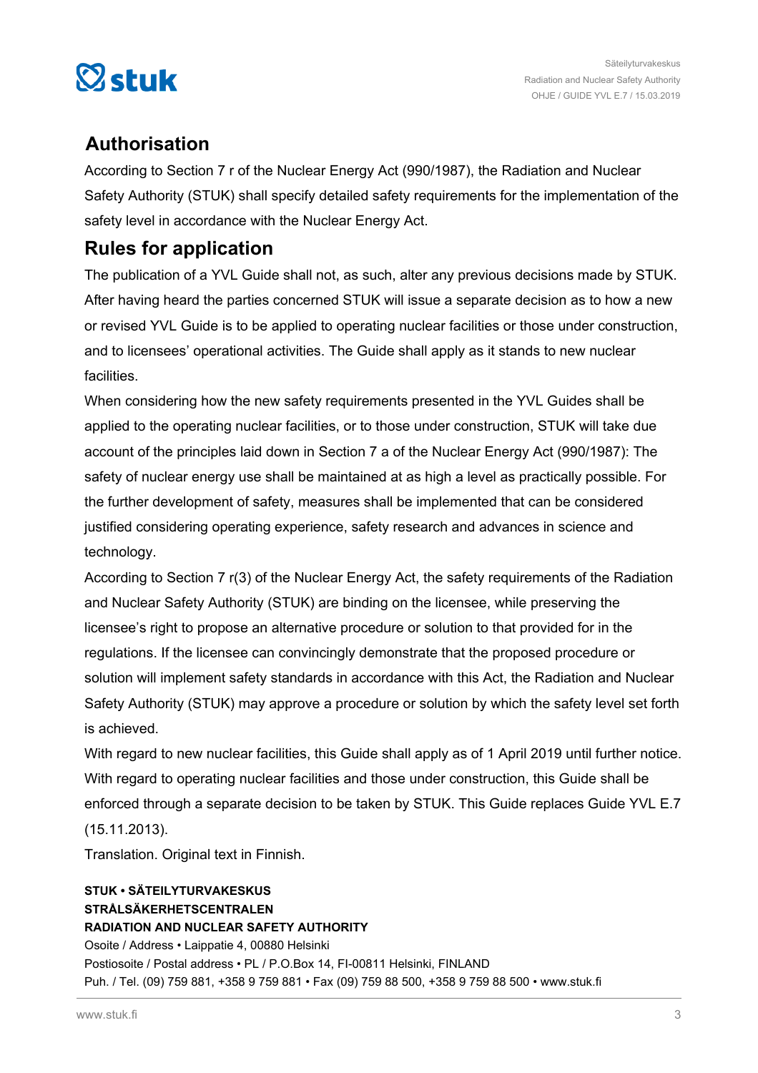

### **Authorisation**

According to Section 7 r of the Nuclear Energy Act (990/1987), the Radiation and Nuclear Safety Authority (STUK) shall specify detailed safety requirements for the implementation of the safety level in accordance with the Nuclear Energy Act.

### **Rules for application**

The publication of a YVL Guide shall not, as such, alter any previous decisions made by STUK. After having heard the parties concerned STUK will issue a separate decision as to how a new or revised YVL Guide is to be applied to operating nuclear facilities or those under construction, and to licensees' operational activities. The Guide shall apply as it stands to new nuclear facilities.

When considering how the new safety requirements presented in the YVL Guides shall be applied to the operating nuclear facilities, or to those under construction, STUK will take due account of the principles laid down in Section 7 a of the Nuclear Energy Act (990/1987): The safety of nuclear energy use shall be maintained at as high a level as practically possible. For the further development of safety, measures shall be implemented that can be considered justified considering operating experience, safety research and advances in science and technology.

According to Section 7 r(3) of the Nuclear Energy Act, the safety requirements of the Radiation and Nuclear Safety Authority (STUK) are binding on the licensee, while preserving the licensee's right to propose an alternative procedure or solution to that provided for in the regulations. If the licensee can convincingly demonstrate that the proposed procedure or solution will implement safety standards in accordance with this Act, the Radiation and Nuclear Safety Authority (STUK) may approve a procedure or solution by which the safety level set forth is achieved.

With regard to new nuclear facilities, this Guide shall apply as of 1 April 2019 until further notice. With regard to operating nuclear facilities and those under construction, this Guide shall be enforced through a separate decision to be taken by STUK. This Guide replaces Guide YVL E.7 (15.11.2013).

Translation. Original text in Finnish.

### **STUK • SÄTEILYTURVAKESKUS STRÅLSÄKERHETSCENTRALEN RADIATION AND NUCLEAR SAFETY AUTHORITY** Osoite / Address • Laippatie 4, 00880 Helsinki Postiosoite / Postal address • PL / P.O.Box 14, FI-00811 Helsinki, FINLAND Puh. / Tel. (09) 759 881, +358 9 759 881 • Fax (09) 759 88 500, +358 9 759 88 500 • www.stuk.fi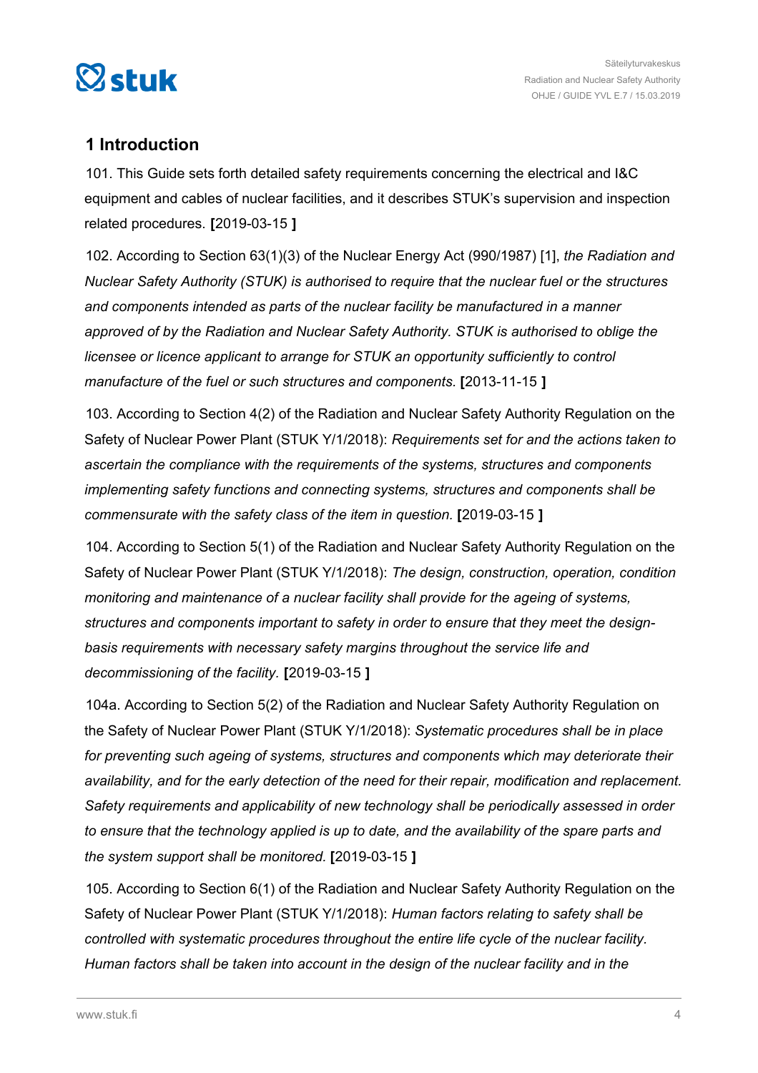<span id="page-3-0"></span>

### **1 Introduction**

101. This Guide sets forth detailed safety requirements concerning the electrical and I&C equipment and cables of nuclear facilities, and it describes STUK's supervision and inspection related procedures. **[**2019-03-15 **]**

102. According to Section 63(1)(3) of the Nuclear Energy Act (990/1987) [1], *the Radiation and Nuclear Safety Authority (STUK) is authorised to require that the nuclear fuel or the structures and components intended as parts of the nuclear facility be manufactured in a manner approved of by the Radiation and Nuclear Safety Authority. STUK is authorised to oblige the licensee or licence applicant to arrange for STUK an opportunity sufficiently to control manufacture of the fuel or such structures and components.* **[**2013-11-15 **]**

103. According to Section 4(2) of the Radiation and Nuclear Safety Authority Regulation on the Safety of Nuclear Power Plant (STUK Y/1/2018): *Requirements set for and the actions taken to ascertain the compliance with the requirements of the systems, structures and components implementing safety functions and connecting systems, structures and components shall be commensurate with the safety class of the item in question.* **[**2019-03-15 **]**

104. According to Section 5(1) of the Radiation and Nuclear Safety Authority Regulation on the Safety of Nuclear Power Plant (STUK Y/1/2018): *The design, construction, operation, condition monitoring and maintenance of a nuclear facility shall provide for the ageing of systems, structures and components important to safety in order to ensure that they meet the designbasis requirements with necessary safety margins throughout the service life and decommissioning of the facility.* **[**2019-03-15 **]**

104a. According to Section 5(2) of the Radiation and Nuclear Safety Authority Regulation on the Safety of Nuclear Power Plant (STUK Y/1/2018): *Systematic procedures shall be in place for preventing such ageing of systems, structures and components which may deteriorate their availability, and for the early detection of the need for their repair, modification and replacement. Safety requirements and applicability of new technology shall be periodically assessed in order to ensure that the technology applied is up to date, and the availability of the spare parts and the system support shall be monitored.* **[**2019-03-15 **]**

105. According to Section 6(1) of the Radiation and Nuclear Safety Authority Regulation on the Safety of Nuclear Power Plant (STUK Y/1/2018): *Human factors relating to safety shall be controlled with systematic procedures throughout the entire life cycle of the nuclear facility. Human factors shall be taken into account in the design of the nuclear facility and in the*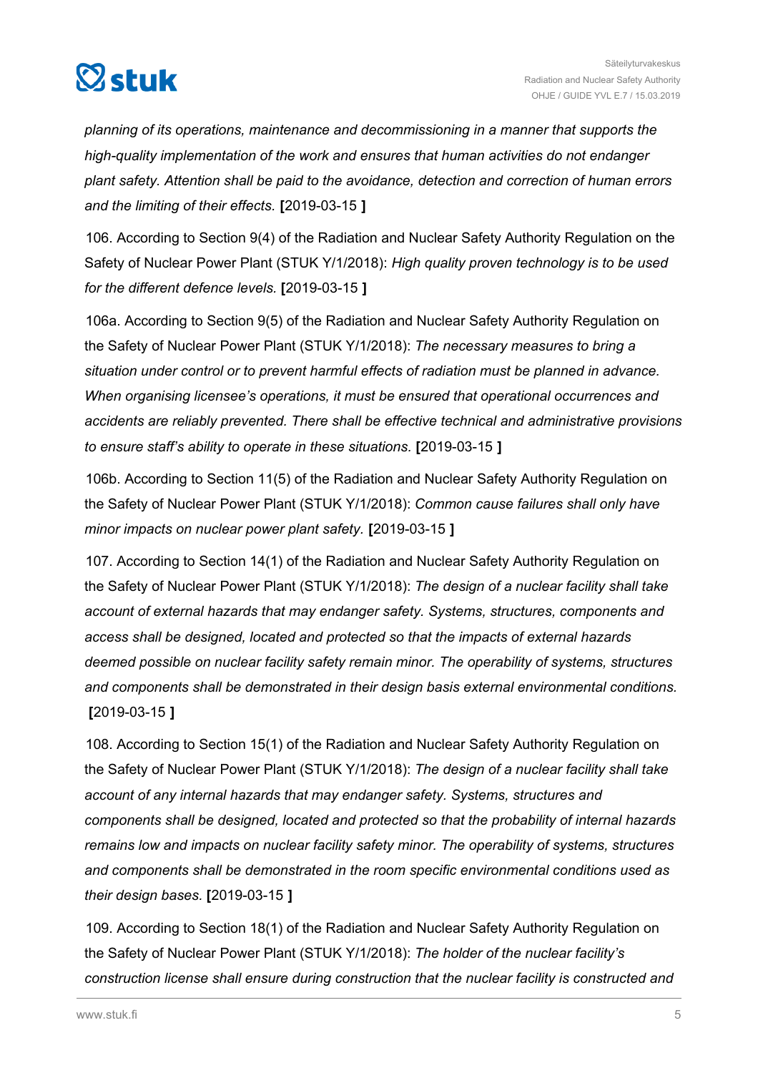

*planning of its operations, maintenance and decommissioning in a manner that supports the high-quality implementation of the work and ensures that human activities do not endanger plant safety. Attention shall be paid to the avoidance, detection and correction of human errors and the limiting of their effects.* **[**2019-03-15 **]**

106. According to Section 9(4) of the Radiation and Nuclear Safety Authority Regulation on the Safety of Nuclear Power Plant (STUK Y/1/2018): *High quality proven technology is to be used for the different defence levels.* **[**2019-03-15 **]**

106a. According to Section 9(5) of the Radiation and Nuclear Safety Authority Regulation on the Safety of Nuclear Power Plant (STUK Y/1/2018): *The necessary measures to bring a situation under control or to prevent harmful effects of radiation must be planned in advance. When organising licensee's operations, it must be ensured that operational occurrences and accidents are reliably prevented. There shall be effective technical and administrative provisions to ensure staff's ability to operate in these situations.* **[**2019-03-15 **]**

106b. According to Section 11(5) of the Radiation and Nuclear Safety Authority Regulation on the Safety of Nuclear Power Plant (STUK Y/1/2018): *Common cause failures shall only have minor impacts on nuclear power plant safety.* **[**2019-03-15 **]**

107. According to Section 14(1) of the Radiation and Nuclear Safety Authority Regulation on the Safety of Nuclear Power Plant (STUK Y/1/2018): *The design of a nuclear facility shall take account of external hazards that may endanger safety. Systems, structures, components and access shall be designed, located and protected so that the impacts of external hazards deemed possible on nuclear facility safety remain minor. The operability of systems, structures and components shall be demonstrated in their design basis external environmental conditions.* **[**2019-03-15 **]**

108. According to Section 15(1) of the Radiation and Nuclear Safety Authority Regulation on the Safety of Nuclear Power Plant (STUK Y/1/2018): *The design of a nuclear facility shall take account of any internal hazards that may endanger safety. Systems, structures and components shall be designed, located and protected so that the probability of internal hazards remains low and impacts on nuclear facility safety minor. The operability of systems, structures and components shall be demonstrated in the room specific environmental conditions used as their design bases.* **[**2019-03-15 **]**

109. According to Section 18(1) of the Radiation and Nuclear Safety Authority Regulation on the Safety of Nuclear Power Plant (STUK Y/1/2018): *The holder of the nuclear facility's construction license shall ensure during construction that the nuclear facility is constructed and*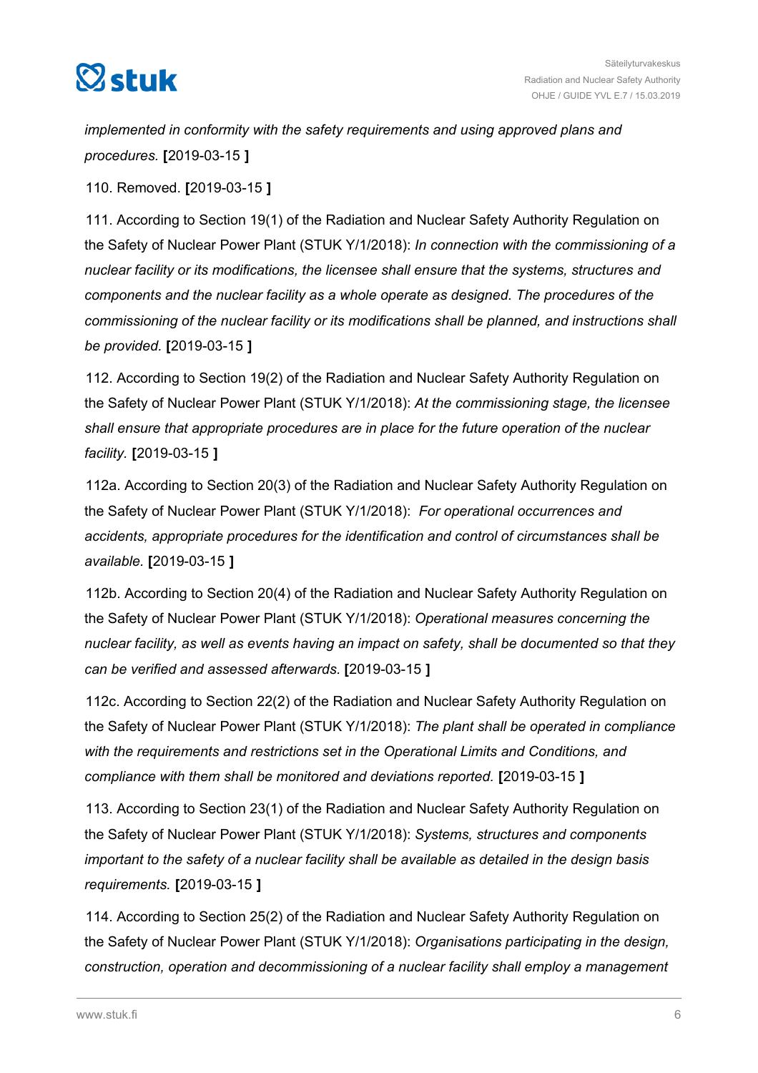

*implemented in conformity with the safety requirements and using approved plans and procedures.* **[**2019-03-15 **]**

110. Removed. **[**2019-03-15 **]**

111. According to Section 19(1) of the Radiation and Nuclear Safety Authority Regulation on the Safety of Nuclear Power Plant (STUK Y/1/2018): *In connection with the commissioning of a nuclear facility or its modifications, the licensee shall ensure that the systems, structures and components and the nuclear facility as a whole operate as designed. The procedures of the commissioning of the nuclear facility or its modifications shall be planned, and instructions shall be provided.* **[**2019-03-15 **]**

112. According to Section 19(2) of the Radiation and Nuclear Safety Authority Regulation on the Safety of Nuclear Power Plant (STUK Y/1/2018): *At the commissioning stage, the licensee shall ensure that appropriate procedures are in place for the future operation of the nuclear facility.* **[**2019-03-15 **]**

112a. According to Section 20(3) of the Radiation and Nuclear Safety Authority Regulation on the Safety of Nuclear Power Plant (STUK Y/1/2018): *For operational occurrences and accidents, appropriate procedures for the identification and control of circumstances shall be available.* **[**2019-03-15 **]**

112b. According to Section 20(4) of the Radiation and Nuclear Safety Authority Regulation on the Safety of Nuclear Power Plant (STUK Y/1/2018): *Operational measures concerning the nuclear facility, as well as events having an impact on safety, shall be documented so that they can be verified and assessed afterwards.* **[**2019-03-15 **]**

112c. According to Section 22(2) of the Radiation and Nuclear Safety Authority Regulation on the Safety of Nuclear Power Plant (STUK Y/1/2018): *The plant shall be operated in compliance with the requirements and restrictions set in the Operational Limits and Conditions, and compliance with them shall be monitored and deviations reported.* **[**2019-03-15 **]**

113. According to Section 23(1) of the Radiation and Nuclear Safety Authority Regulation on the Safety of Nuclear Power Plant (STUK Y/1/2018): *Systems, structures and components important to the safety of a nuclear facility shall be available as detailed in the design basis requirements.* **[**2019-03-15 **]**

114. According to Section 25(2) of the Radiation and Nuclear Safety Authority Regulation on the Safety of Nuclear Power Plant (STUK Y/1/2018): *Organisations participating in the design, construction, operation and decommissioning of a nuclear facility shall employ a management*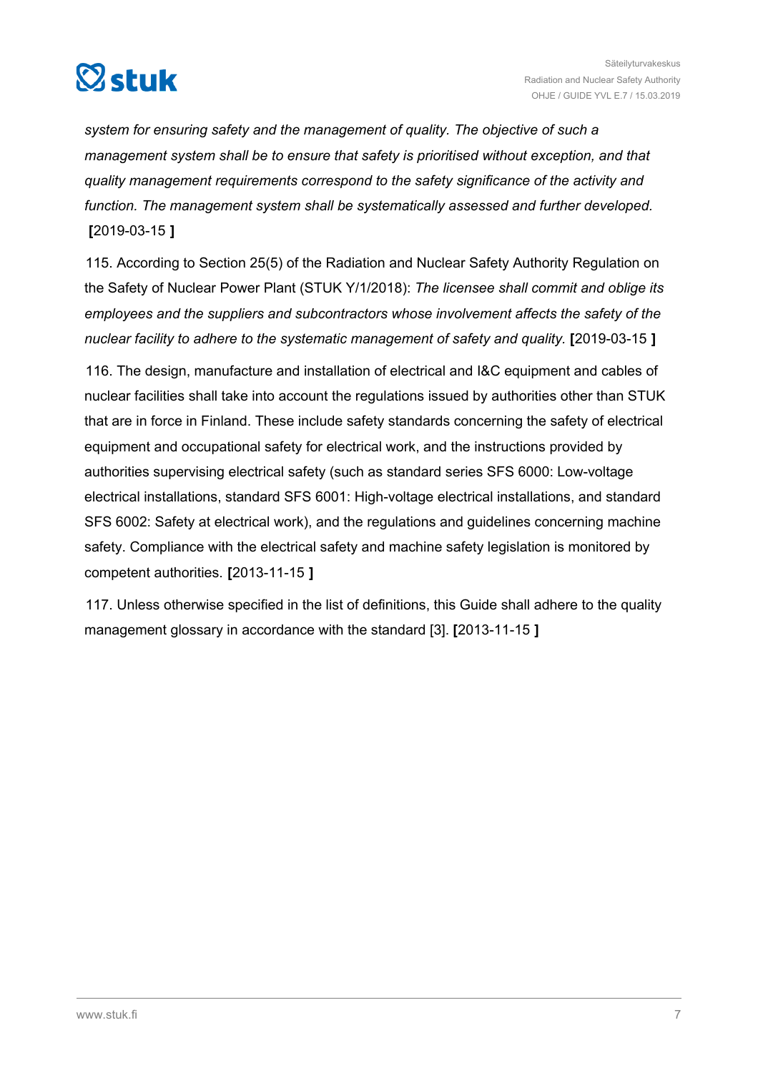

*system for ensuring safety and the management of quality. The objective of such a management system shall be to ensure that safety is prioritised without exception, and that quality management requirements correspond to the safety significance of the activity and function. The management system shall be systematically assessed and further developed.* **[**2019-03-15 **]**

115. According to Section 25(5) of the Radiation and Nuclear Safety Authority Regulation on the Safety of Nuclear Power Plant (STUK Y/1/2018): *The licensee shall commit and oblige its employees and the suppliers and subcontractors whose involvement affects the safety of the nuclear facility to adhere to the systematic management of safety and quality.* **[**2019-03-15 **]**

116. The design, manufacture and installation of electrical and I&C equipment and cables of nuclear facilities shall take into account the regulations issued by authorities other than STUK that are in force in Finland. These include safety standards concerning the safety of electrical equipment and occupational safety for electrical work, and the instructions provided by authorities supervising electrical safety (such as standard series SFS 6000: Low-voltage electrical installations, standard SFS 6001: High-voltage electrical installations, and standard SFS 6002: Safety at electrical work), and the regulations and guidelines concerning machine safety. Compliance with the electrical safety and machine safety legislation is monitored by competent authorities. **[**2013-11-15 **]**

117. Unless otherwise specified in the list of definitions, this Guide shall adhere to the quality management glossary in accordance with the standard [3]. **[**2013-11-15 **]**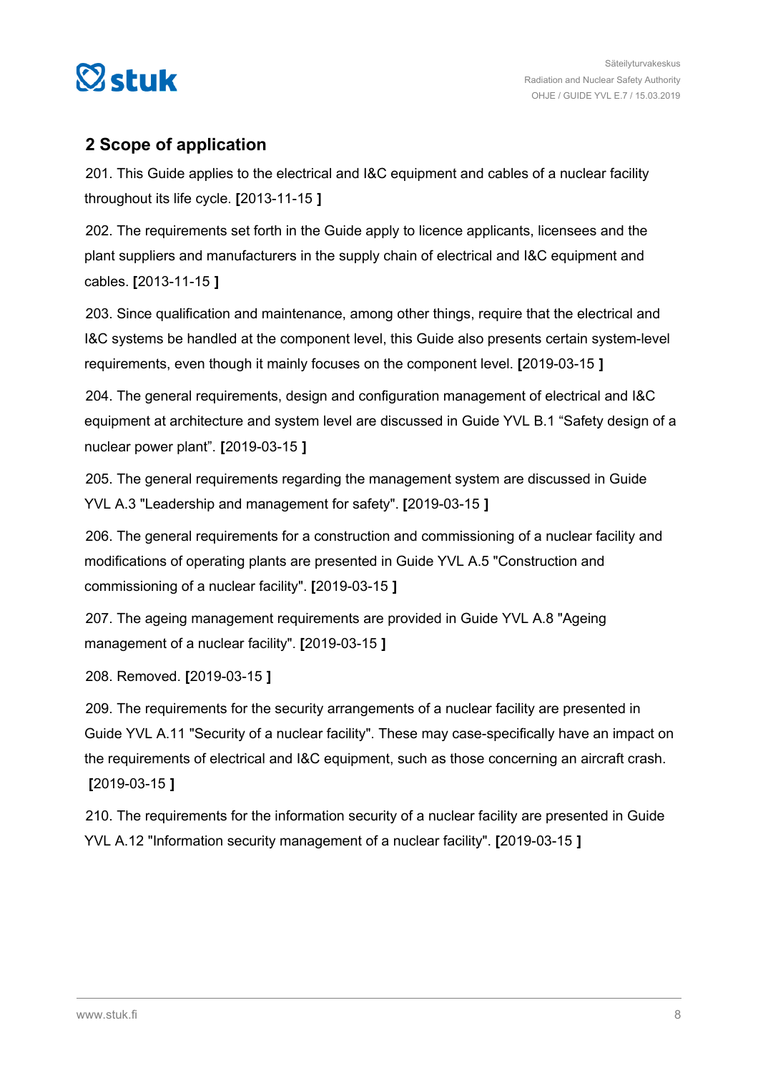<span id="page-7-0"></span>

### **2 Scope of application**

201. This Guide applies to the electrical and I&C equipment and cables of a nuclear facility throughout its life cycle. **[**2013-11-15 **]**

202. The requirements set forth in the Guide apply to licence applicants, licensees and the plant suppliers and manufacturers in the supply chain of electrical and I&C equipment and cables. **[**2013-11-15 **]**

203. Since qualification and maintenance, among other things, require that the electrical and I&C systems be handled at the component level, this Guide also presents certain system-level requirements, even though it mainly focuses on the component level. **[**2019-03-15 **]**

204. The general requirements, design and configuration management of electrical and I&C equipment at architecture and system level are discussed in Guide YVL B.1 "Safety design of a nuclear power plant". **[**2019-03-15 **]**

205. The general requirements regarding the management system are discussed in Guide YVL A.3 "Leadership and management for safety". **[**2019-03-15 **]**

206. The general requirements for a construction and commissioning of a nuclear facility and modifications of operating plants are presented in Guide YVL A.5 "Construction and commissioning of a nuclear facility". **[**2019-03-15 **]**

207. The ageing management requirements are provided in Guide YVL A.8 "Ageing management of a nuclear facility". **[**2019-03-15 **]**

208. Removed. **[**2019-03-15 **]**

209. The requirements for the security arrangements of a nuclear facility are presented in Guide YVL A.11 "Security of a nuclear facility". These may case-specifically have an impact on the requirements of electrical and I&C equipment, such as those concerning an aircraft crash. **[**2019-03-15 **]**

210. The requirements for the information security of a nuclear facility are presented in Guide YVL A.12 "Information security management of a nuclear facility". **[**2019-03-15 **]**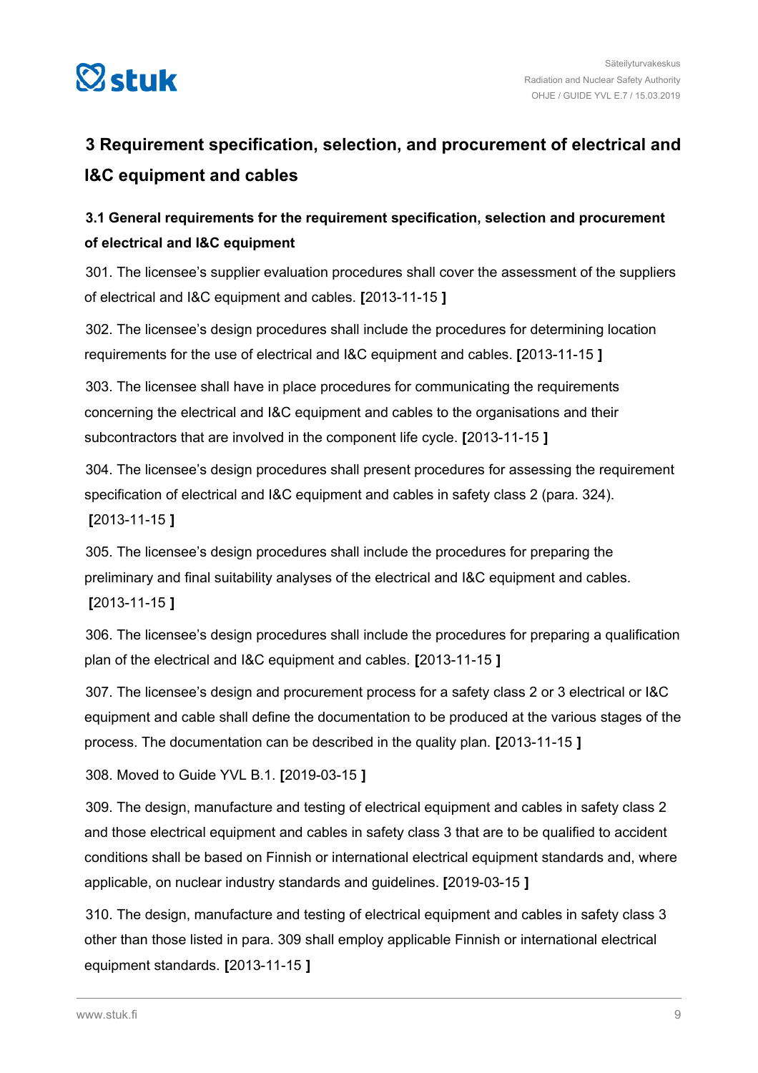<span id="page-8-0"></span>

### **3 Requirement specification, selection, and procurement of electrical and I&C equipment and cables**

### **3.1 General requirements for the requirement specification, selection and procurement of electrical and I&C equipment**

301. The licensee's supplier evaluation procedures shall cover the assessment of the suppliers of electrical and I&C equipment and cables. **[**2013-11-15 **]**

302. The licensee's design procedures shall include the procedures for determining location requirements for the use of electrical and I&C equipment and cables. **[**2013-11-15 **]**

303. The licensee shall have in place procedures for communicating the requirements concerning the electrical and I&C equipment and cables to the organisations and their subcontractors that are involved in the component life cycle. **[**2013-11-15 **]**

304. The licensee's design procedures shall present procedures for assessing the requirement specification of electrical and I&C equipment and cables in safety class 2 (para. 324). **[**2013-11-15 **]**

305. The licensee's design procedures shall include the procedures for preparing the preliminary and final suitability analyses of the electrical and I&C equipment and cables. **[**2013-11-15 **]**

306. The licensee's design procedures shall include the procedures for preparing a qualification plan of the electrical and I&C equipment and cables. **[**2013-11-15 **]**

307. The licensee's design and procurement process for a safety class 2 or 3 electrical or I&C equipment and cable shall define the documentation to be produced at the various stages of the process. The documentation can be described in the quality plan. **[**2013-11-15 **]**

308. Moved to Guide YVL B.1. **[**2019-03-15 **]**

309. The design, manufacture and testing of electrical equipment and cables in safety class 2 and those electrical equipment and cables in safety class 3 that are to be qualified to accident conditions shall be based on Finnish or international electrical equipment standards and, where applicable, on nuclear industry standards and guidelines. **[**2019-03-15 **]**

310. The design, manufacture and testing of electrical equipment and cables in safety class 3 other than those listed in para. 309 shall employ applicable Finnish or international electrical equipment standards. **[**2013-11-15 **]**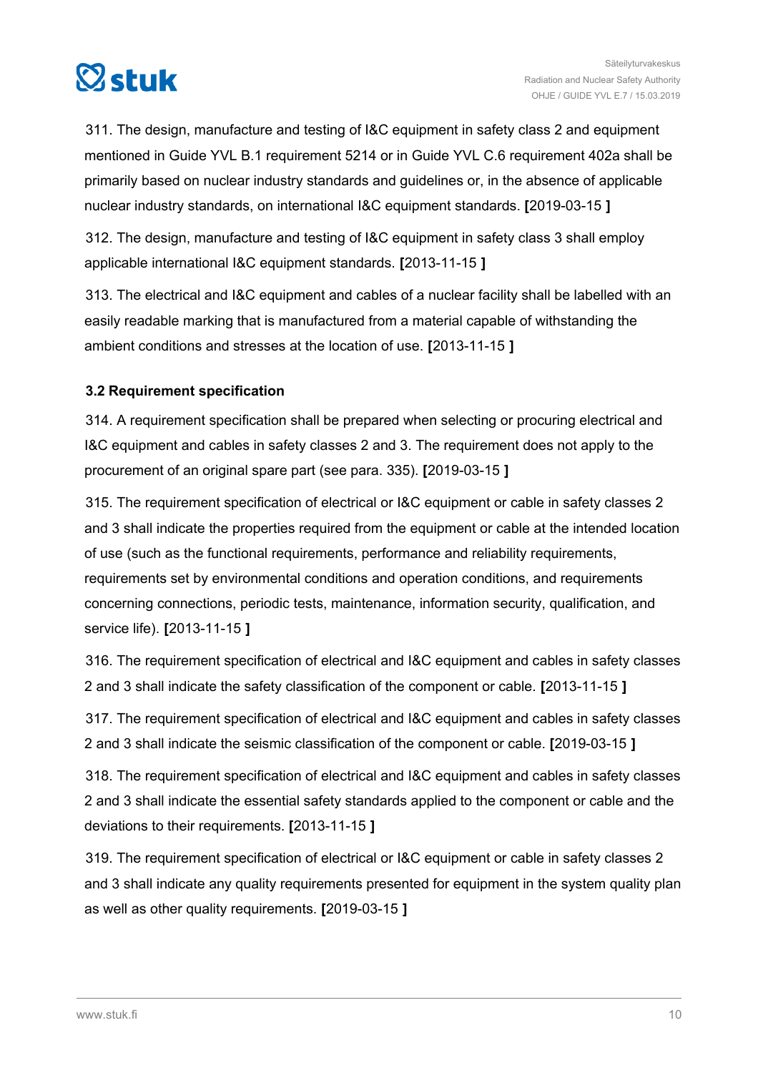<span id="page-9-0"></span>

311. The design, manufacture and testing of I&C equipment in safety class 2 and equipment mentioned in Guide YVL B.1 requirement 5214 or in Guide YVL C.6 requirement 402a shall be primarily based on nuclear industry standards and guidelines or, in the absence of applicable nuclear industry standards, on international I&C equipment standards. **[**2019-03-15 **]**

312. The design, manufacture and testing of I&C equipment in safety class 3 shall employ applicable international I&C equipment standards. **[**2013-11-15 **]**

313. The electrical and I&C equipment and cables of a nuclear facility shall be labelled with an easily readable marking that is manufactured from a material capable of withstanding the ambient conditions and stresses at the location of use. **[**2013-11-15 **]**

### **3.2 Requirement specification**

314. A requirement specification shall be prepared when selecting or procuring electrical and I&C equipment and cables in safety classes 2 and 3. The requirement does not apply to the procurement of an original spare part (see para. 335). **[**2019-03-15 **]**

315. The requirement specification of electrical or I&C equipment or cable in safety classes 2 and 3 shall indicate the properties required from the equipment or cable at the intended location of use (such as the functional requirements, performance and reliability requirements, requirements set by environmental conditions and operation conditions, and requirements concerning connections, periodic tests, maintenance, information security, qualification, and service life). **[**2013-11-15 **]**

316. The requirement specification of electrical and I&C equipment and cables in safety classes 2 and 3 shall indicate the safety classification of the component or cable. **[**2013-11-15 **]**

317. The requirement specification of electrical and I&C equipment and cables in safety classes 2 and 3 shall indicate the seismic classification of the component or cable. **[**2019-03-15 **]**

318. The requirement specification of electrical and I&C equipment and cables in safety classes 2 and 3 shall indicate the essential safety standards applied to the component or cable and the deviations to their requirements. **[**2013-11-15 **]**

319. The requirement specification of electrical or I&C equipment or cable in safety classes 2 and 3 shall indicate any quality requirements presented for equipment in the system quality plan as well as other quality requirements. **[**2019-03-15 **]**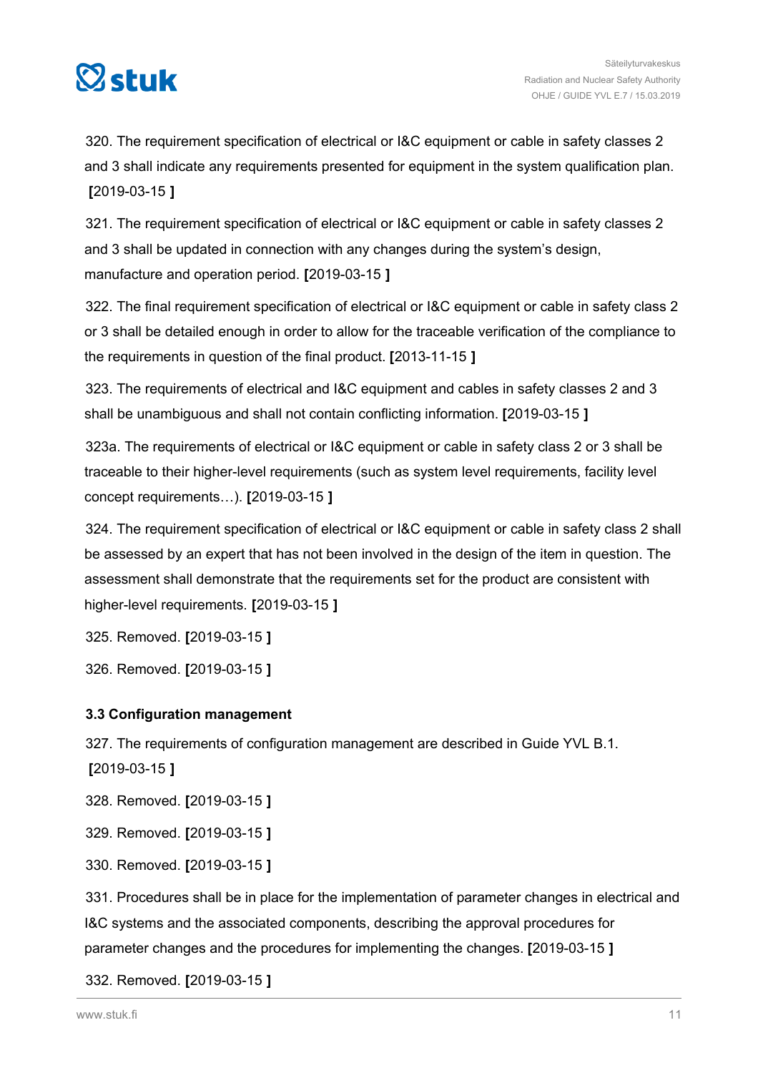<span id="page-10-0"></span>

320. The requirement specification of electrical or I&C equipment or cable in safety classes 2 and 3 shall indicate any requirements presented for equipment in the system qualification plan. **[**2019-03-15 **]**

321. The requirement specification of electrical or I&C equipment or cable in safety classes 2 and 3 shall be updated in connection with any changes during the system's design, manufacture and operation period. **[**2019-03-15 **]**

322. The final requirement specification of electrical or I&C equipment or cable in safety class 2 or 3 shall be detailed enough in order to allow for the traceable verification of the compliance to the requirements in question of the final product. **[**2013-11-15 **]**

323. The requirements of electrical and I&C equipment and cables in safety classes 2 and 3 shall be unambiguous and shall not contain conflicting information. **[**2019-03-15 **]**

323a. The requirements of electrical or I&C equipment or cable in safety class 2 or 3 shall be traceable to their higher-level requirements (such as system level requirements, facility level concept requirements…). **[**2019-03-15 **]**

324. The requirement specification of electrical or I&C equipment or cable in safety class 2 shall be assessed by an expert that has not been involved in the design of the item in question. The assessment shall demonstrate that the requirements set for the product are consistent with higher-level requirements. **[**2019-03-15 **]**

325. Removed. **[**2019-03-15 **]**

326. Removed. **[**2019-03-15 **]**

### **3.3 Configuration management**

327. The requirements of configuration management are described in Guide YVL B.1.

**[**2019-03-15 **]**

328. Removed. **[**2019-03-15 **]**

329. Removed. **[**2019-03-15 **]**

330. Removed. **[**2019-03-15 **]**

331. Procedures shall be in place for the implementation of parameter changes in electrical and I&C systems and the associated components, describing the approval procedures for parameter changes and the procedures for implementing the changes. **[**2019-03-15 **]**

332. Removed. **[**2019-03-15 **]**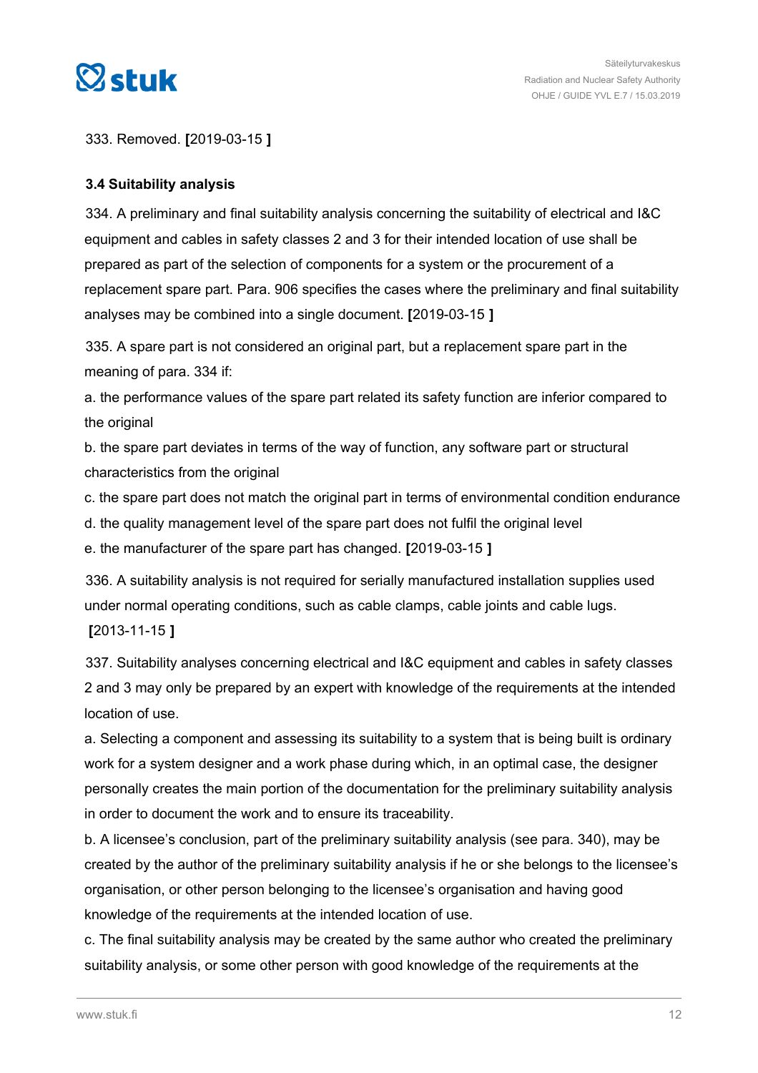<span id="page-11-0"></span>

333. Removed. **[**2019-03-15 **]**

### **3.4 Suitability analysis**

334. A preliminary and final suitability analysis concerning the suitability of electrical and I&C equipment and cables in safety classes 2 and 3 for their intended location of use shall be prepared as part of the selection of components for a system or the procurement of a replacement spare part. Para. 906 specifies the cases where the preliminary and final suitability analyses may be combined into a single document. **[**2019-03-15 **]**

335. A spare part is not considered an original part, but a replacement spare part in the meaning of para. 334 if:

a. the performance values of the spare part related its safety function are inferior compared to the original

b. the spare part deviates in terms of the way of function, any software part or structural characteristics from the original

c. the spare part does not match the original part in terms of environmental condition endurance

d. the quality management level of the spare part does not fulfil the original level

e. the manufacturer of the spare part has changed. **[**2019-03-15 **]**

336. A suitability analysis is not required for serially manufactured installation supplies used under normal operating conditions, such as cable clamps, cable joints and cable lugs. **[**2013-11-15 **]**

337. Suitability analyses concerning electrical and I&C equipment and cables in safety classes 2 and 3 may only be prepared by an expert with knowledge of the requirements at the intended location of use.

a. Selecting a component and assessing its suitability to a system that is being built is ordinary work for a system designer and a work phase during which, in an optimal case, the designer personally creates the main portion of the documentation for the preliminary suitability analysis in order to document the work and to ensure its traceability.

b. A licensee's conclusion, part of the preliminary suitability analysis (see para. 340), may be created by the author of the preliminary suitability analysis if he or she belongs to the licensee's organisation, or other person belonging to the licensee's organisation and having good knowledge of the requirements at the intended location of use.

c. The final suitability analysis may be created by the same author who created the preliminary suitability analysis, or some other person with good knowledge of the requirements at the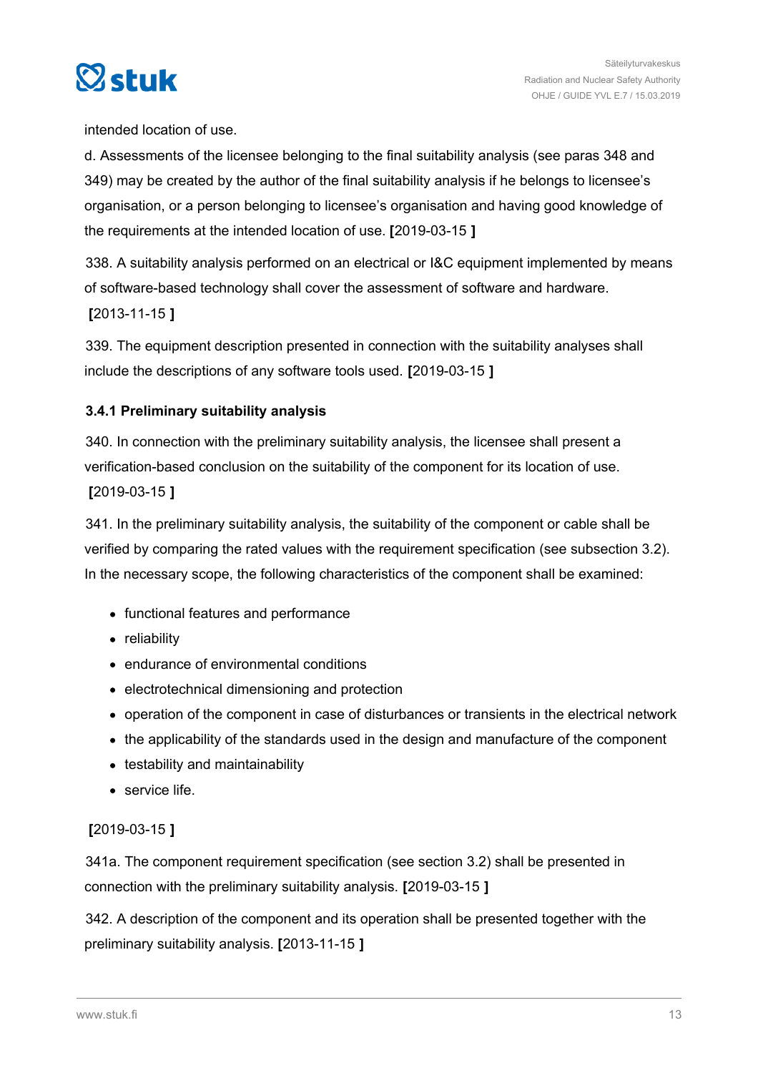<span id="page-12-0"></span>

intended location of use.

d. Assessments of the licensee belonging to the final suitability analysis (see paras 348 and 349) may be created by the author of the final suitability analysis if he belongs to licensee's organisation, or a person belonging to licensee's organisation and having good knowledge of the requirements at the intended location of use. **[**2019-03-15 **]**

338. A suitability analysis performed on an electrical or I&C equipment implemented by means of software-based technology shall cover the assessment of software and hardware. **[**2013-11-15 **]**

339. The equipment description presented in connection with the suitability analyses shall include the descriptions of any software tools used. **[**2019-03-15 **]**

### **3.4.1 Preliminary suitability analysis**

340. In connection with the preliminary suitability analysis, the licensee shall present a verification-based conclusion on the suitability of the component for its location of use. **[**2019-03-15 **]**

341. In the preliminary suitability analysis, the suitability of the component or cable shall be verified by comparing the rated values with the requirement specification (see subsection 3.2). In the necessary scope, the following characteristics of the component shall be examined:

- functional features and performance
- reliability
- endurance of environmental conditions
- electrotechnical dimensioning and protection
- operation of the component in case of disturbances or transients in the electrical network
- the applicability of the standards used in the design and manufacture of the component
- testability and maintainability
- **•** service life.

### **[**2019-03-15 **]**

341a. The component requirement specification (see section 3.2) shall be presented in connection with the preliminary suitability analysis. **[**2019-03-15 **]**

342. A description of the component and its operation shall be presented together with the preliminary suitability analysis. **[**2013-11-15 **]**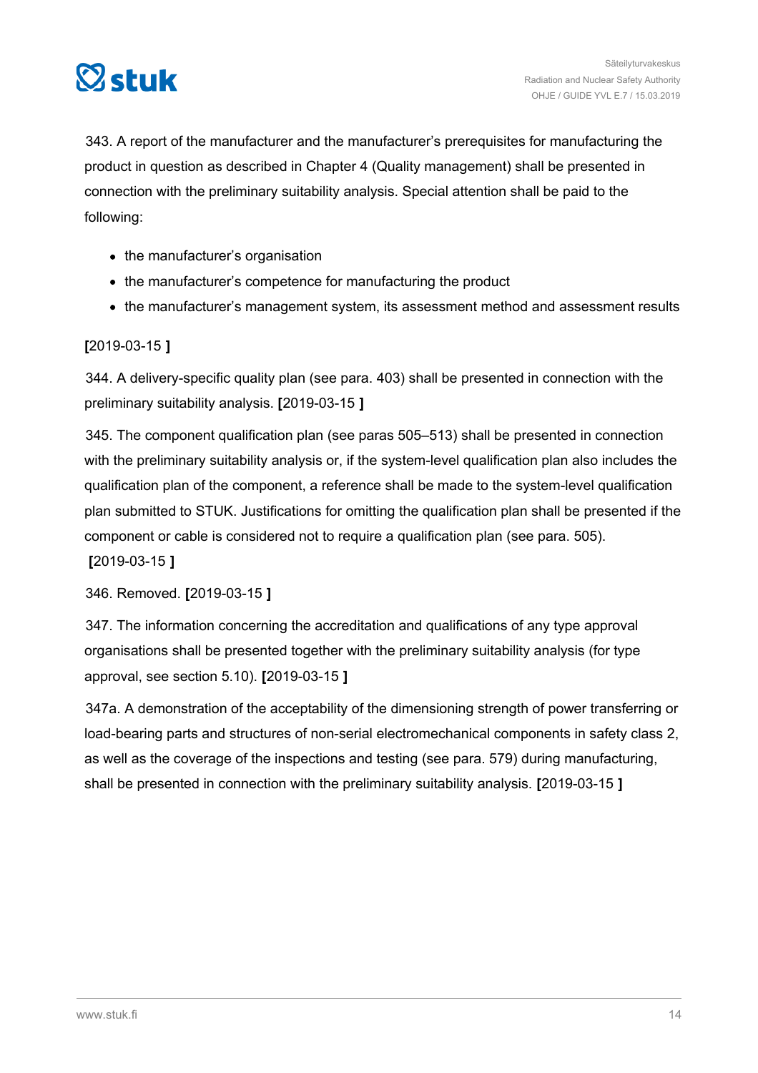

343. A report of the manufacturer and the manufacturer's prerequisites for manufacturing the product in question as described in Chapter 4 (Quality management) shall be presented in connection with the preliminary suitability analysis. Special attention shall be paid to the following:

- the manufacturer's organisation
- the manufacturer's competence for manufacturing the product
- the manufacturer's management system, its assessment method and assessment results

### **[**2019-03-15 **]**

344. A delivery-specific quality plan (see para. 403) shall be presented in connection with the preliminary suitability analysis. **[**2019-03-15 **]**

345. The component qualification plan (see paras 505–513) shall be presented in connection with the preliminary suitability analysis or, if the system-level qualification plan also includes the qualification plan of the component, a reference shall be made to the system-level qualification plan submitted to STUK. Justifications for omitting the qualification plan shall be presented if the component or cable is considered not to require a qualification plan (see para. 505).

**[**2019-03-15 **]**

346. Removed. **[**2019-03-15 **]**

347. The information concerning the accreditation and qualifications of any type approval organisations shall be presented together with the preliminary suitability analysis (for type approval, see section 5.10). **[**2019-03-15 **]**

347a. A demonstration of the acceptability of the dimensioning strength of power transferring or load-bearing parts and structures of non-serial electromechanical components in safety class 2, as well as the coverage of the inspections and testing (see para. 579) during manufacturing, shall be presented in connection with the preliminary suitability analysis. **[**2019-03-15 **]**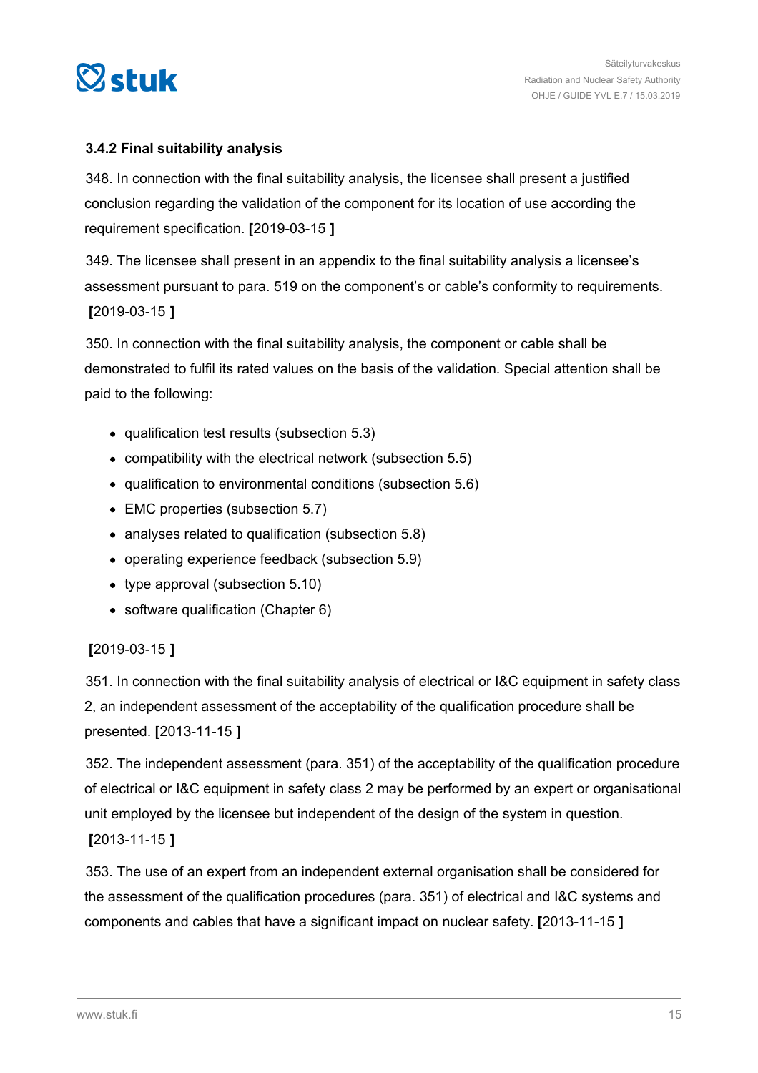<span id="page-14-0"></span>

### **3.4.2 Final suitability analysis**

348. In connection with the final suitability analysis, the licensee shall present a justified conclusion regarding the validation of the component for its location of use according the requirement specification. **[**2019-03-15 **]**

349. The licensee shall present in an appendix to the final suitability analysis a licensee's assessment pursuant to para. 519 on the component's or cable's conformity to requirements. **[**2019-03-15 **]**

350. In connection with the final suitability analysis, the component or cable shall be demonstrated to fulfil its rated values on the basis of the validation. Special attention shall be paid to the following:

- qualification test results (subsection 5.3)
- compatibility with the electrical network (subsection 5.5)
- qualification to environmental conditions (subsection 5.6)
- EMC properties (subsection 5.7)
- analyses related to qualification (subsection 5.8)
- operating experience feedback (subsection 5.9)
- type approval (subsection 5.10)
- software qualification (Chapter 6)

#### **[**2019-03-15 **]**

351. In connection with the final suitability analysis of electrical or I&C equipment in safety class 2, an independent assessment of the acceptability of the qualification procedure shall be presented. **[**2013-11-15 **]**

352. The independent assessment (para. 351) of the acceptability of the qualification procedure of electrical or I&C equipment in safety class 2 may be performed by an expert or organisational unit employed by the licensee but independent of the design of the system in question.

**[**2013-11-15 **]**

353. The use of an expert from an independent external organisation shall be considered for the assessment of the qualification procedures (para. 351) of electrical and I&C systems and components and cables that have a significant impact on nuclear safety. **[**2013-11-15 **]**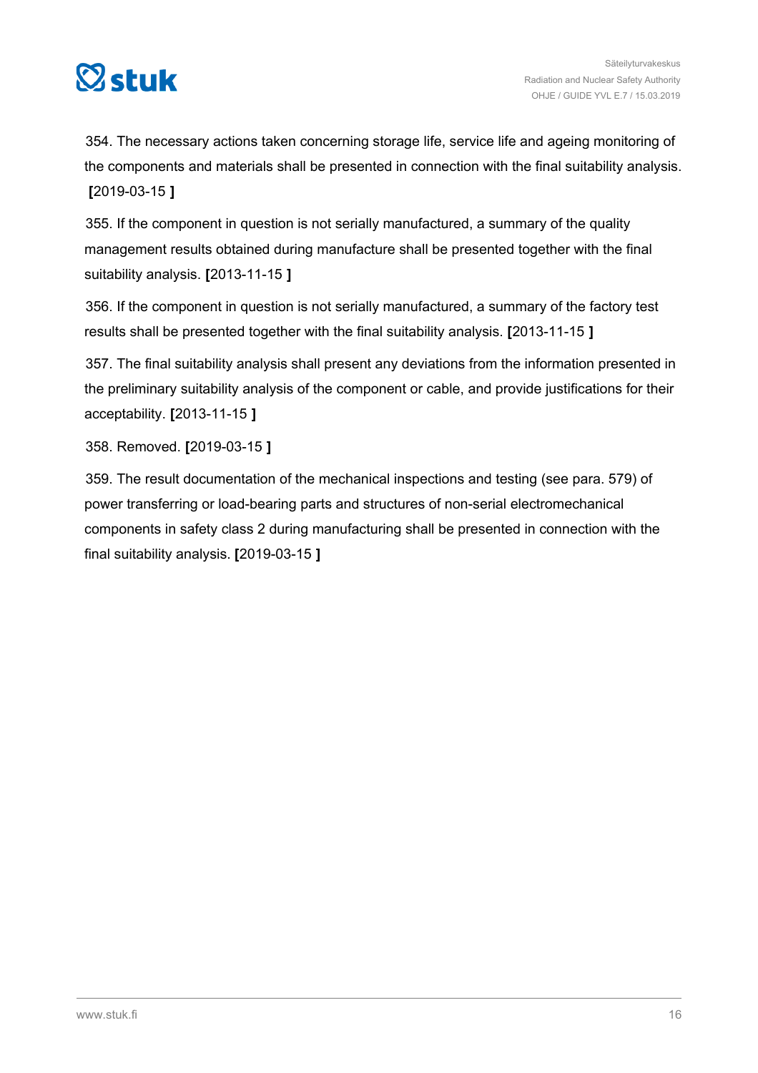

354. The necessary actions taken concerning storage life, service life and ageing monitoring of the components and materials shall be presented in connection with the final suitability analysis. **[**2019-03-15 **]**

355. If the component in question is not serially manufactured, a summary of the quality management results obtained during manufacture shall be presented together with the final suitability analysis. **[**2013-11-15 **]**

356. If the component in question is not serially manufactured, a summary of the factory test results shall be presented together with the final suitability analysis. **[**2013-11-15 **]**

357. The final suitability analysis shall present any deviations from the information presented in the preliminary suitability analysis of the component or cable, and provide justifications for their acceptability. **[**2013-11-15 **]**

358. Removed. **[**2019-03-15 **]**

359. The result documentation of the mechanical inspections and testing (see para. 579) of power transferring or load-bearing parts and structures of non-serial electromechanical components in safety class 2 during manufacturing shall be presented in connection with the final suitability analysis. **[**2019-03-15 **]**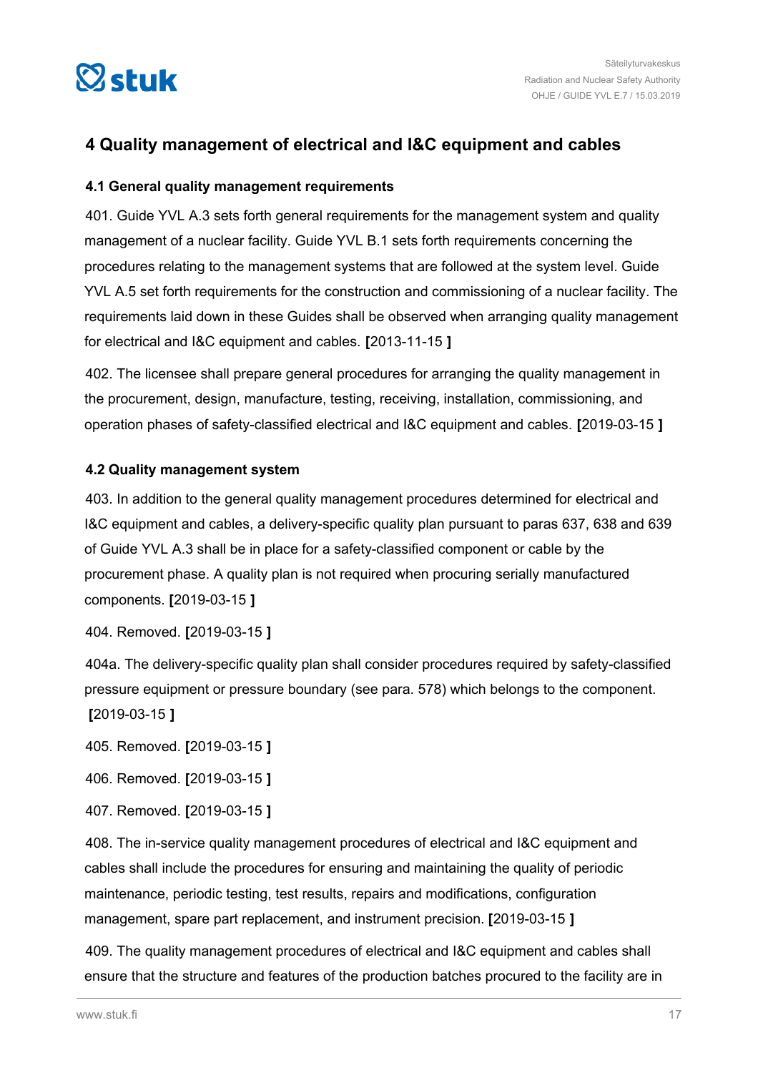<span id="page-16-0"></span>

### **4 Quality management of electrical and I&C equipment and cables**

### **4.1 General quality management requirements**

401. Guide YVL A.3 sets forth general requirements for the management system and quality management of a nuclear facility. Guide YVL B.1 sets forth requirements concerning the procedures relating to the management systems that are followed at the system level. Guide YVL A.5 set forth requirements for the construction and commissioning of a nuclear facility. The requirements laid down in these Guides shall be observed when arranging quality management for electrical and I&C equipment and cables. **[**2013-11-15 **]**

402. The licensee shall prepare general procedures for arranging the quality management in the procurement, design, manufacture, testing, receiving, installation, commissioning, and operation phases of safety-classified electrical and I&C equipment and cables. **[**2019-03-15 **]**

### **4.2 Quality management system**

403. In addition to the general quality management procedures determined for electrical and I&C equipment and cables, a delivery-specific quality plan pursuant to paras 637, 638 and 639 of Guide YVL A.3 shall be in place for a safety-classified component or cable by the procurement phase. A quality plan is not required when procuring serially manufactured components. **[**2019-03-15 **]**

404. Removed. **[**2019-03-15 **]**

404a. The delivery-specific quality plan shall consider procedures required by safety-classified pressure equipment or pressure boundary (see para. 578) which belongs to the component. **[**2019-03-15 **]**

405. Removed. **[**2019-03-15 **]**

406. Removed. **[**2019-03-15 **]**

407. Removed. **[**2019-03-15 **]**

408. The in-service quality management procedures of electrical and I&C equipment and cables shall include the procedures for ensuring and maintaining the quality of periodic maintenance, periodic testing, test results, repairs and modifications, configuration management, spare part replacement, and instrument precision. **[**2019-03-15 **]**

409. The quality management procedures of electrical and I&C equipment and cables shall ensure that the structure and features of the production batches procured to the facility are in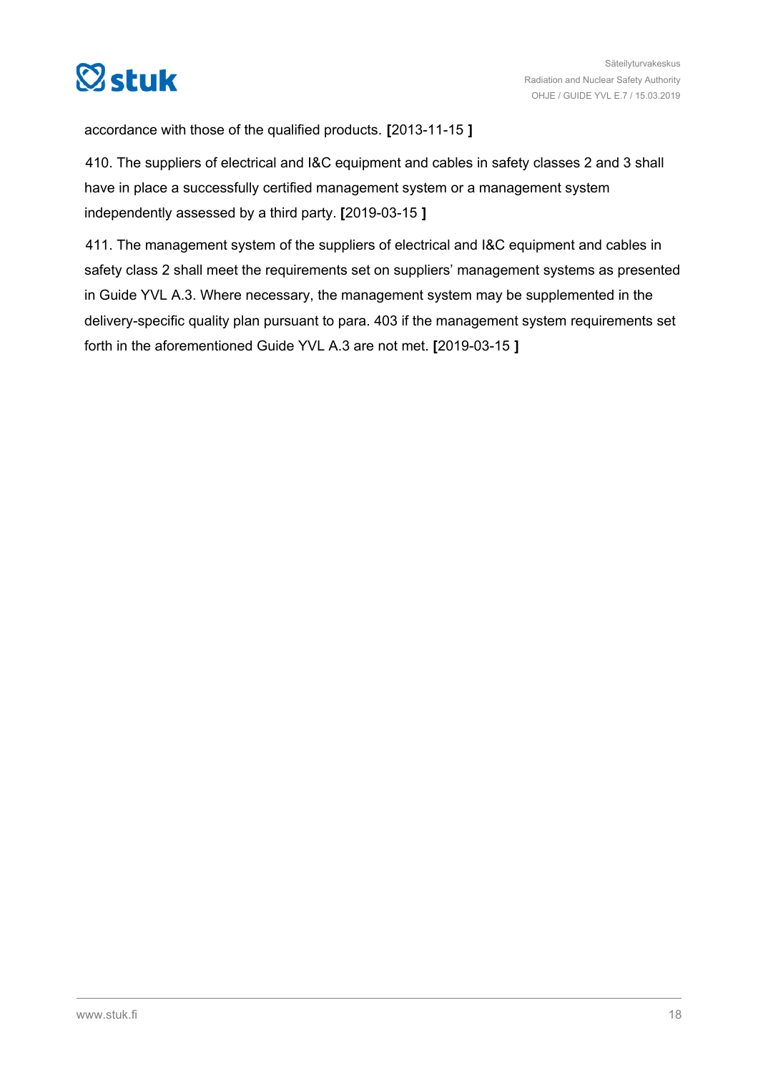

accordance with those of the qualified products. **[**2013-11-15 **]**

410. The suppliers of electrical and I&C equipment and cables in safety classes 2 and 3 shall have in place a successfully certified management system or a management system independently assessed by a third party. **[**2019-03-15 **]**

411. The management system of the suppliers of electrical and I&C equipment and cables in safety class 2 shall meet the requirements set on suppliers' management systems as presented in Guide YVL A.3. Where necessary, the management system may be supplemented in the delivery-specific quality plan pursuant to para. 403 if the management system requirements set forth in the aforementioned Guide YVL A.3 are not met. **[**2019-03-15 **]**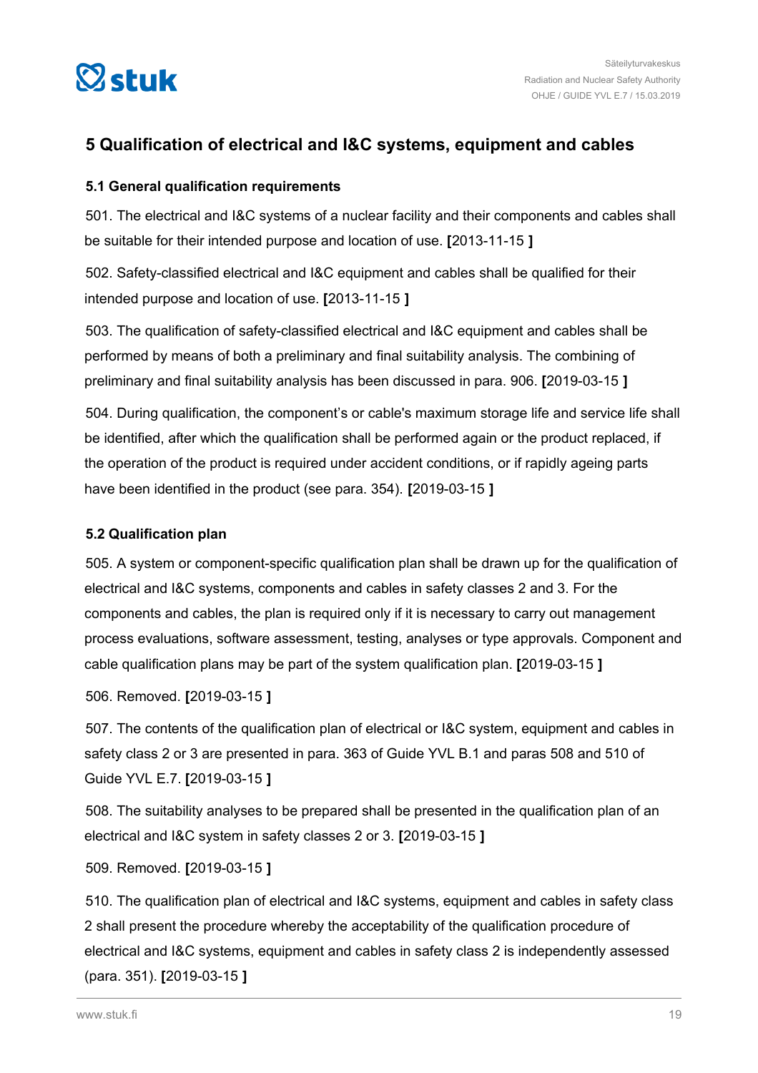<span id="page-18-0"></span>

### **5 Qualification of electrical and I&C systems, equipment and cables**

### **5.1 General qualification requirements**

501. The electrical and I&C systems of a nuclear facility and their components and cables shall be suitable for their intended purpose and location of use. **[**2013-11-15 **]**

502. Safety-classified electrical and I&C equipment and cables shall be qualified for their intended purpose and location of use. **[**2013-11-15 **]**

503. The qualification of safety-classified electrical and I&C equipment and cables shall be performed by means of both a preliminary and final suitability analysis. The combining of preliminary and final suitability analysis has been discussed in para. 906. **[**2019-03-15 **]**

504. During qualification, the component's or cable's maximum storage life and service life shall be identified, after which the qualification shall be performed again or the product replaced, if the operation of the product is required under accident conditions, or if rapidly ageing parts have been identified in the product (see para. 354). **[**2019-03-15 **]**

### **5.2 Qualification plan**

505. A system or component-specific qualification plan shall be drawn up for the qualification of electrical and I&C systems, components and cables in safety classes 2 and 3. For the components and cables, the plan is required only if it is necessary to carry out management process evaluations, software assessment, testing, analyses or type approvals. Component and cable qualification plans may be part of the system qualification plan. **[**2019-03-15 **]**

506. Removed. **[**2019-03-15 **]**

507. The contents of the qualification plan of electrical or I&C system, equipment and cables in safety class 2 or 3 are presented in para. 363 of Guide YVL B.1 and paras 508 and 510 of Guide YVL E.7. **[**2019-03-15 **]**

508. The suitability analyses to be prepared shall be presented in the qualification plan of an electrical and I&C system in safety classes 2 or 3. **[**2019-03-15 **]**

### 509. Removed. **[**2019-03-15 **]**

510. The qualification plan of electrical and I&C systems, equipment and cables in safety class 2 shall present the procedure whereby the acceptability of the qualification procedure of electrical and I&C systems, equipment and cables in safety class 2 is independently assessed (para. 351). **[**2019-03-15 **]**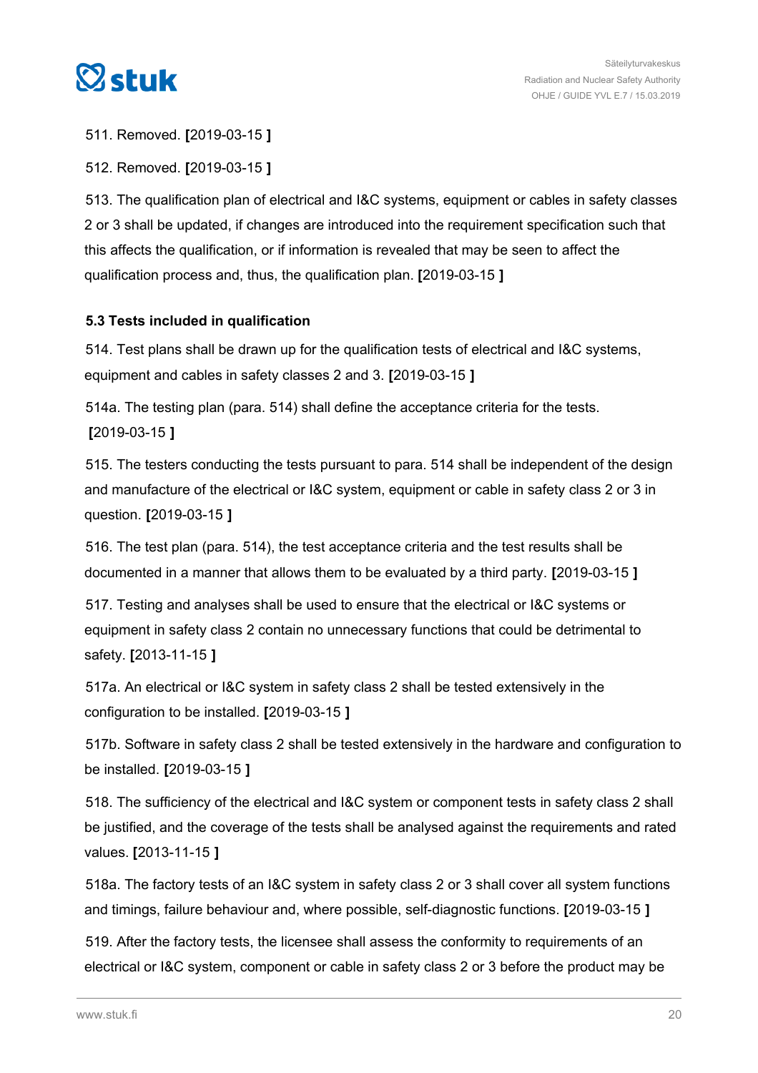<span id="page-19-0"></span>

511. Removed. **[**2019-03-15 **]**

512. Removed. **[**2019-03-15 **]**

513. The qualification plan of electrical and I&C systems, equipment or cables in safety classes 2 or 3 shall be updated, if changes are introduced into the requirement specification such that this affects the qualification, or if information is revealed that may be seen to affect the qualification process and, thus, the qualification plan. **[**2019-03-15 **]**

### **5.3 Tests included in qualification**

514. Test plans shall be drawn up for the qualification tests of electrical and I&C systems, equipment and cables in safety classes 2 and 3. **[**2019-03-15 **]**

514a. The testing plan (para. 514) shall define the acceptance criteria for the tests. **[**2019-03-15 **]**

515. The testers conducting the tests pursuant to para. 514 shall be independent of the design and manufacture of the electrical or I&C system, equipment or cable in safety class 2 or 3 in question. **[**2019-03-15 **]**

516. The test plan (para. 514), the test acceptance criteria and the test results shall be documented in a manner that allows them to be evaluated by a third party. **[**2019-03-15 **]**

517. Testing and analyses shall be used to ensure that the electrical or I&C systems or equipment in safety class 2 contain no unnecessary functions that could be detrimental to safety. **[**2013-11-15 **]**

517a. An electrical or I&C system in safety class 2 shall be tested extensively in the configuration to be installed. **[**2019-03-15 **]**

517b. Software in safety class 2 shall be tested extensively in the hardware and configuration to be installed. **[**2019-03-15 **]**

518. The sufficiency of the electrical and I&C system or component tests in safety class 2 shall be justified, and the coverage of the tests shall be analysed against the requirements and rated values. **[**2013-11-15 **]**

518a. The factory tests of an I&C system in safety class 2 or 3 shall cover all system functions and timings, failure behaviour and, where possible, self-diagnostic functions. **[**2019-03-15 **]**

519. After the factory tests, the licensee shall assess the conformity to requirements of an electrical or I&C system, component or cable in safety class 2 or 3 before the product may be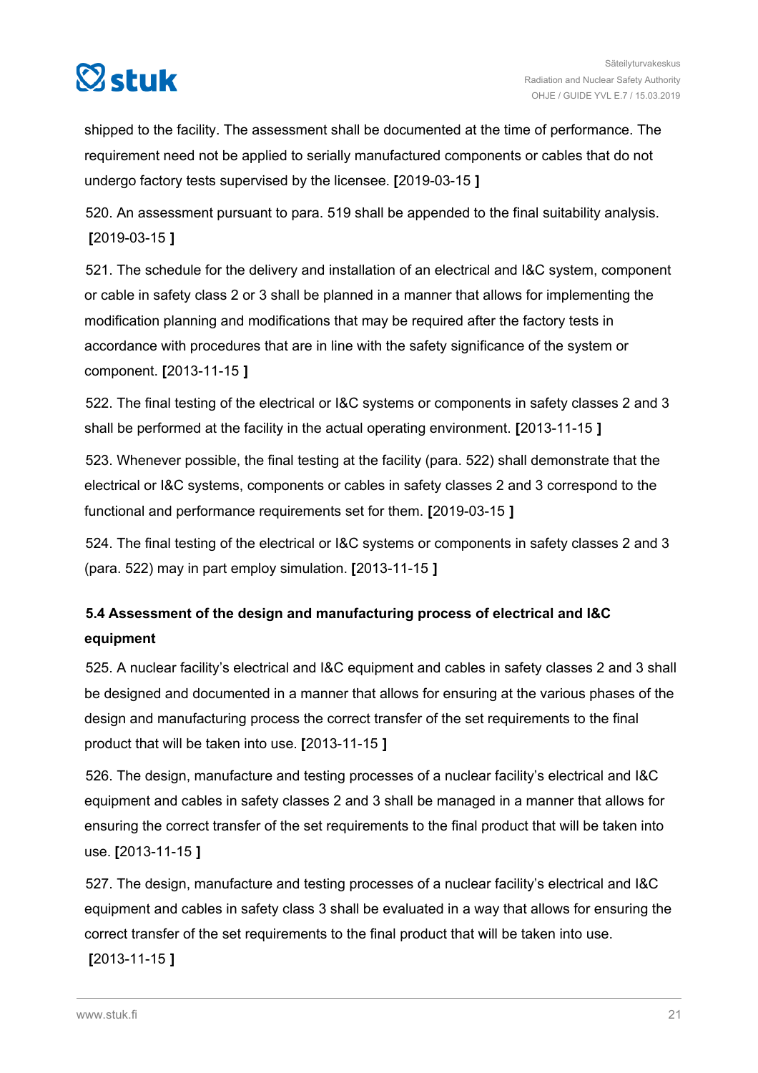<span id="page-20-0"></span>

shipped to the facility. The assessment shall be documented at the time of performance. The requirement need not be applied to serially manufactured components or cables that do not undergo factory tests supervised by the licensee. **[**2019-03-15 **]**

520. An assessment pursuant to para. 519 shall be appended to the final suitability analysis. **[**2019-03-15 **]**

521. The schedule for the delivery and installation of an electrical and I&C system, component or cable in safety class 2 or 3 shall be planned in a manner that allows for implementing the modification planning and modifications that may be required after the factory tests in accordance with procedures that are in line with the safety significance of the system or component. **[**2013-11-15 **]**

522. The final testing of the electrical or I&C systems or components in safety classes 2 and 3 shall be performed at the facility in the actual operating environment. **[**2013-11-15 **]**

523. Whenever possible, the final testing at the facility (para. 522) shall demonstrate that the electrical or I&C systems, components or cables in safety classes 2 and 3 correspond to the functional and performance requirements set for them. **[**2019-03-15 **]**

524. The final testing of the electrical or I&C systems or components in safety classes 2 and 3 (para. 522) may in part employ simulation. **[**2013-11-15 **]**

### **5.4 Assessment of the design and manufacturing process of electrical and I&C equipment**

525. A nuclear facility's electrical and I&C equipment and cables in safety classes 2 and 3 shall be designed and documented in a manner that allows for ensuring at the various phases of the design and manufacturing process the correct transfer of the set requirements to the final product that will be taken into use. **[**2013-11-15 **]**

526. The design, manufacture and testing processes of a nuclear facility's electrical and I&C equipment and cables in safety classes 2 and 3 shall be managed in a manner that allows for ensuring the correct transfer of the set requirements to the final product that will be taken into use. **[**2013-11-15 **]**

527. The design, manufacture and testing processes of a nuclear facility's electrical and I&C equipment and cables in safety class 3 shall be evaluated in a way that allows for ensuring the correct transfer of the set requirements to the final product that will be taken into use. **[**2013-11-15 **]**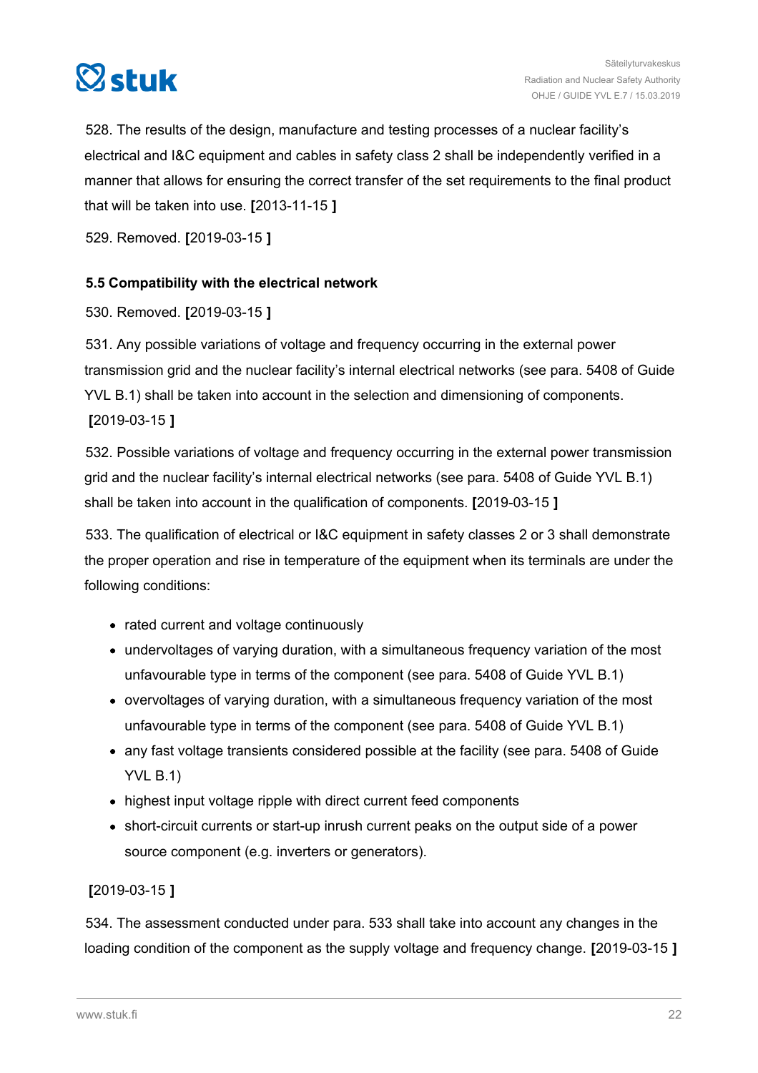<span id="page-21-0"></span>

528. The results of the design, manufacture and testing processes of a nuclear facility's electrical and I&C equipment and cables in safety class 2 shall be independently verified in a manner that allows for ensuring the correct transfer of the set requirements to the final product that will be taken into use. **[**2013-11-15 **]**

529. Removed. **[**2019-03-15 **]**

### **5.5 Compatibility with the electrical network**

530. Removed. **[**2019-03-15 **]**

531. Any possible variations of voltage and frequency occurring in the external power transmission grid and the nuclear facility's internal electrical networks (see para. 5408 of Guide YVL B.1) shall be taken into account in the selection and dimensioning of components. **[**2019-03-15 **]**

532. Possible variations of voltage and frequency occurring in the external power transmission grid and the nuclear facility's internal electrical networks (see para. 5408 of Guide YVL B.1) shall be taken into account in the qualification of components. **[**2019-03-15 **]**

533. The qualification of electrical or I&C equipment in safety classes 2 or 3 shall demonstrate the proper operation and rise in temperature of the equipment when its terminals are under the following conditions:

- rated current and voltage continuously
- undervoltages of varying duration, with a simultaneous frequency variation of the most unfavourable type in terms of the component (see para. 5408 of Guide YVL B.1)
- overvoltages of varying duration, with a simultaneous frequency variation of the most unfavourable type in terms of the component (see para. 5408 of Guide YVL B.1)
- any fast voltage transients considered possible at the facility (see para. 5408 of Guide YVL B.1)
- highest input voltage ripple with direct current feed components
- short-circuit currents or start-up inrush current peaks on the output side of a power source component (e.g. inverters or generators).

### **[**2019-03-15 **]**

534. The assessment conducted under para. 533 shall take into account any changes in the loading condition of the component as the supply voltage and frequency change. **[**2019-03-15 **]**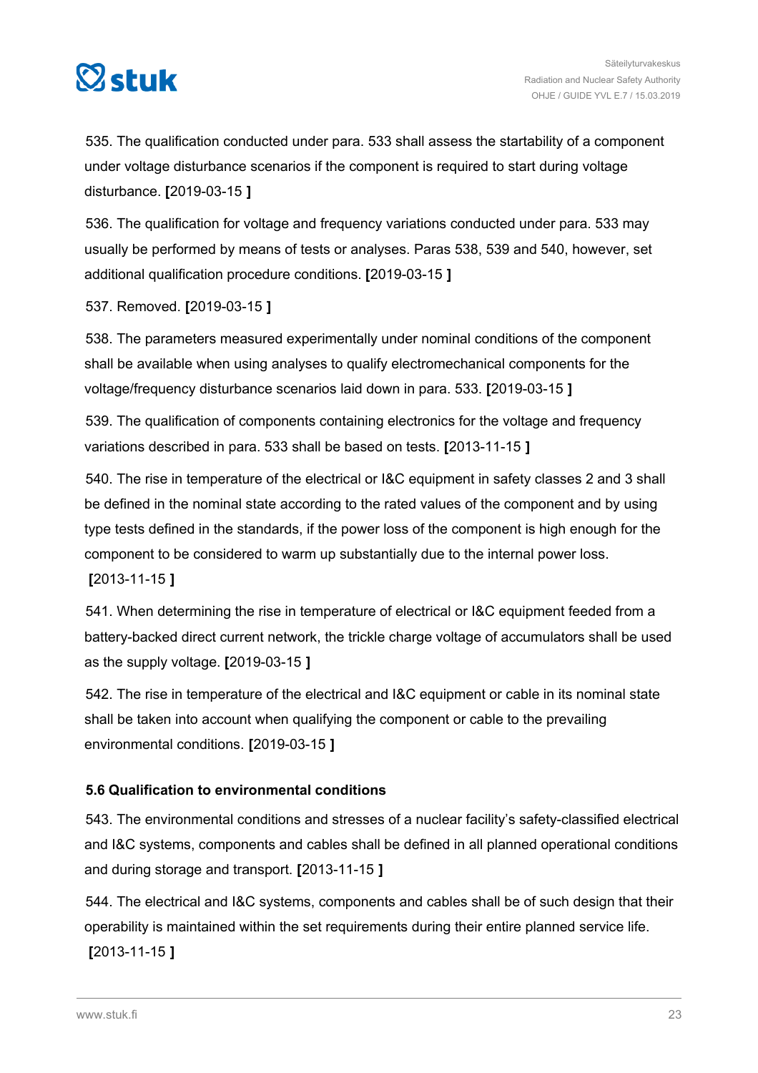<span id="page-22-0"></span>

535. The qualification conducted under para. 533 shall assess the startability of a component under voltage disturbance scenarios if the component is required to start during voltage disturbance. **[**2019-03-15 **]**

536. The qualification for voltage and frequency variations conducted under para. 533 may usually be performed by means of tests or analyses. Paras 538, 539 and 540, however, set additional qualification procedure conditions. **[**2019-03-15 **]**

537. Removed. **[**2019-03-15 **]**

538. The parameters measured experimentally under nominal conditions of the component shall be available when using analyses to qualify electromechanical components for the voltage/frequency disturbance scenarios laid down in para. 533. **[**2019-03-15 **]**

539. The qualification of components containing electronics for the voltage and frequency variations described in para. 533 shall be based on tests. **[**2013-11-15 **]**

540. The rise in temperature of the electrical or I&C equipment in safety classes 2 and 3 shall be defined in the nominal state according to the rated values of the component and by using type tests defined in the standards, if the power loss of the component is high enough for the component to be considered to warm up substantially due to the internal power loss.

**[**2013-11-15 **]**

541. When determining the rise in temperature of electrical or I&C equipment feeded from a battery-backed direct current network, the trickle charge voltage of accumulators shall be used as the supply voltage. **[**2019-03-15 **]**

542. The rise in temperature of the electrical and I&C equipment or cable in its nominal state shall be taken into account when qualifying the component or cable to the prevailing environmental conditions. **[**2019-03-15 **]**

### **5.6 Qualification to environmental conditions**

543. The environmental conditions and stresses of a nuclear facility's safety-classified electrical and I&C systems, components and cables shall be defined in all planned operational conditions and during storage and transport. **[**2013-11-15 **]**

544. The electrical and I&C systems, components and cables shall be of such design that their operability is maintained within the set requirements during their entire planned service life. **[**2013-11-15 **]**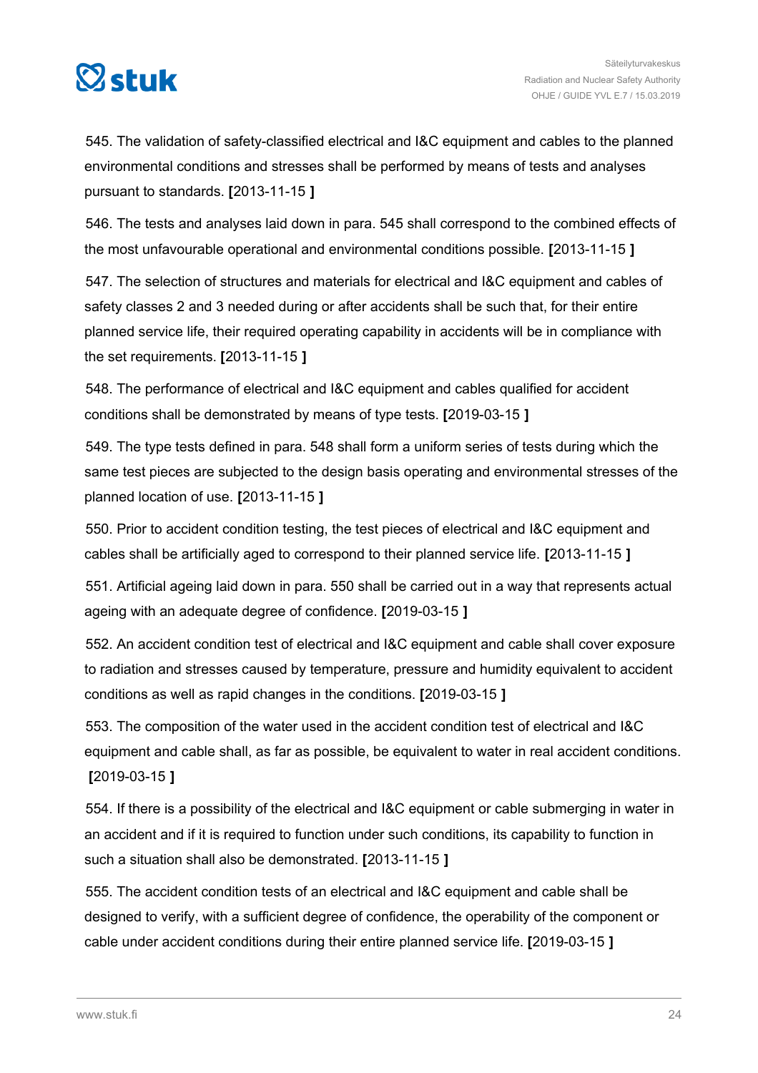

545. The validation of safety-classified electrical and I&C equipment and cables to the planned environmental conditions and stresses shall be performed by means of tests and analyses pursuant to standards. **[**2013-11-15 **]**

546. The tests and analyses laid down in para. 545 shall correspond to the combined effects of the most unfavourable operational and environmental conditions possible. **[**2013-11-15 **]**

547. The selection of structures and materials for electrical and I&C equipment and cables of safety classes 2 and 3 needed during or after accidents shall be such that, for their entire planned service life, their required operating capability in accidents will be in compliance with the set requirements. **[**2013-11-15 **]**

548. The performance of electrical and I&C equipment and cables qualified for accident conditions shall be demonstrated by means of type tests. **[**2019-03-15 **]**

549. The type tests defined in para. 548 shall form a uniform series of tests during which the same test pieces are subjected to the design basis operating and environmental stresses of the planned location of use. **[**2013-11-15 **]**

550. Prior to accident condition testing, the test pieces of electrical and I&C equipment and cables shall be artificially aged to correspond to their planned service life. **[**2013-11-15 **]**

551. Artificial ageing laid down in para. 550 shall be carried out in a way that represents actual ageing with an adequate degree of confidence. **[**2019-03-15 **]**

552. An accident condition test of electrical and I&C equipment and cable shall cover exposure to radiation and stresses caused by temperature, pressure and humidity equivalent to accident conditions as well as rapid changes in the conditions. **[**2019-03-15 **]**

553. The composition of the water used in the accident condition test of electrical and I&C equipment and cable shall, as far as possible, be equivalent to water in real accident conditions. **[**2019-03-15 **]**

554. If there is a possibility of the electrical and I&C equipment or cable submerging in water in an accident and if it is required to function under such conditions, its capability to function in such a situation shall also be demonstrated. **[**2013-11-15 **]**

555. The accident condition tests of an electrical and I&C equipment and cable shall be designed to verify, with a sufficient degree of confidence, the operability of the component or cable under accident conditions during their entire planned service life. **[**2019-03-15 **]**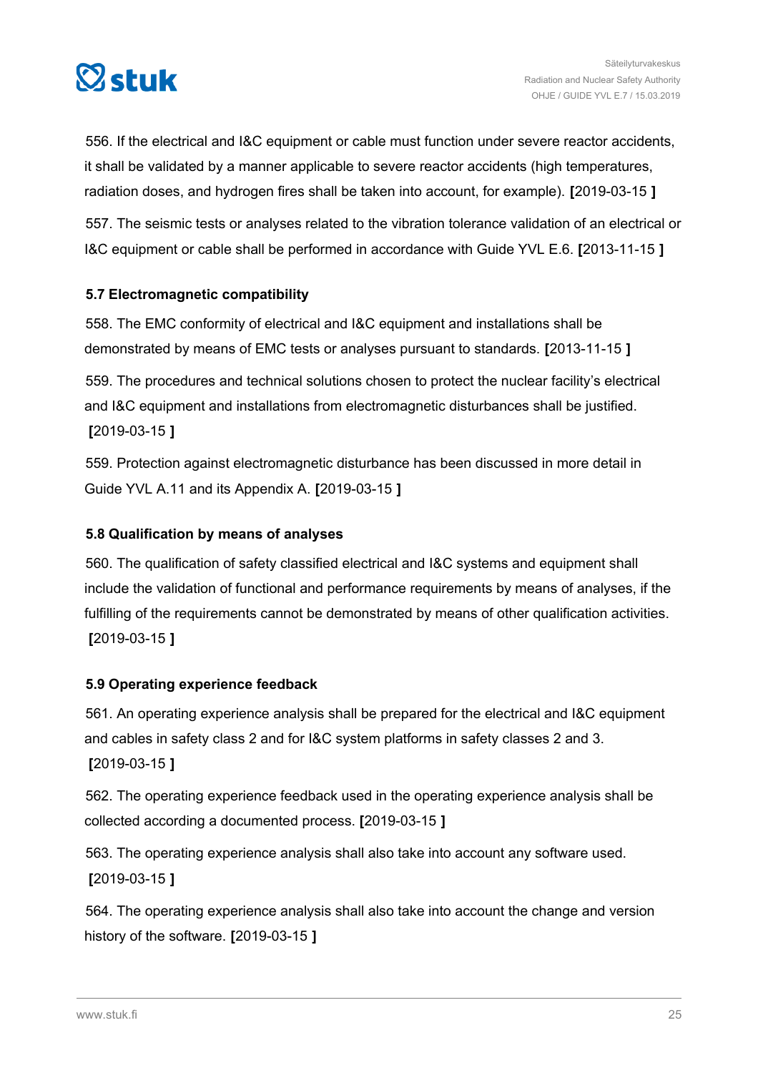<span id="page-24-0"></span>

556. If the electrical and I&C equipment or cable must function under severe reactor accidents, it shall be validated by a manner applicable to severe reactor accidents (high temperatures, radiation doses, and hydrogen fires shall be taken into account, for example). **[**2019-03-15 **]**

557. The seismic tests or analyses related to the vibration tolerance validation of an electrical or I&C equipment or cable shall be performed in accordance with Guide YVL E.6. **[**2013-11-15 **]**

### **5.7 Electromagnetic compatibility**

558. The EMC conformity of electrical and I&C equipment and installations shall be demonstrated by means of EMC tests or analyses pursuant to standards. **[**2013-11-15 **]**

559. The procedures and technical solutions chosen to protect the nuclear facility's electrical and I&C equipment and installations from electromagnetic disturbances shall be justified. **[**2019-03-15 **]**

559. Protection against electromagnetic disturbance has been discussed in more detail in Guide YVL A.11 and its Appendix A. **[**2019-03-15 **]**

### **5.8 Qualification by means of analyses**

560. The qualification of safety classified electrical and I&C systems and equipment shall include the validation of functional and performance requirements by means of analyses, if the fulfilling of the requirements cannot be demonstrated by means of other qualification activities. **[**2019-03-15 **]**

### **5.9 Operating experience feedback**

561. An operating experience analysis shall be prepared for the electrical and I&C equipment and cables in safety class 2 and for I&C system platforms in safety classes 2 and 3. **[**2019-03-15 **]**

562. The operating experience feedback used in the operating experience analysis shall be collected according a documented process. **[**2019-03-15 **]**

563. The operating experience analysis shall also take into account any software used. **[**2019-03-15 **]**

564. The operating experience analysis shall also take into account the change and version history of the software. **[**2019-03-15 **]**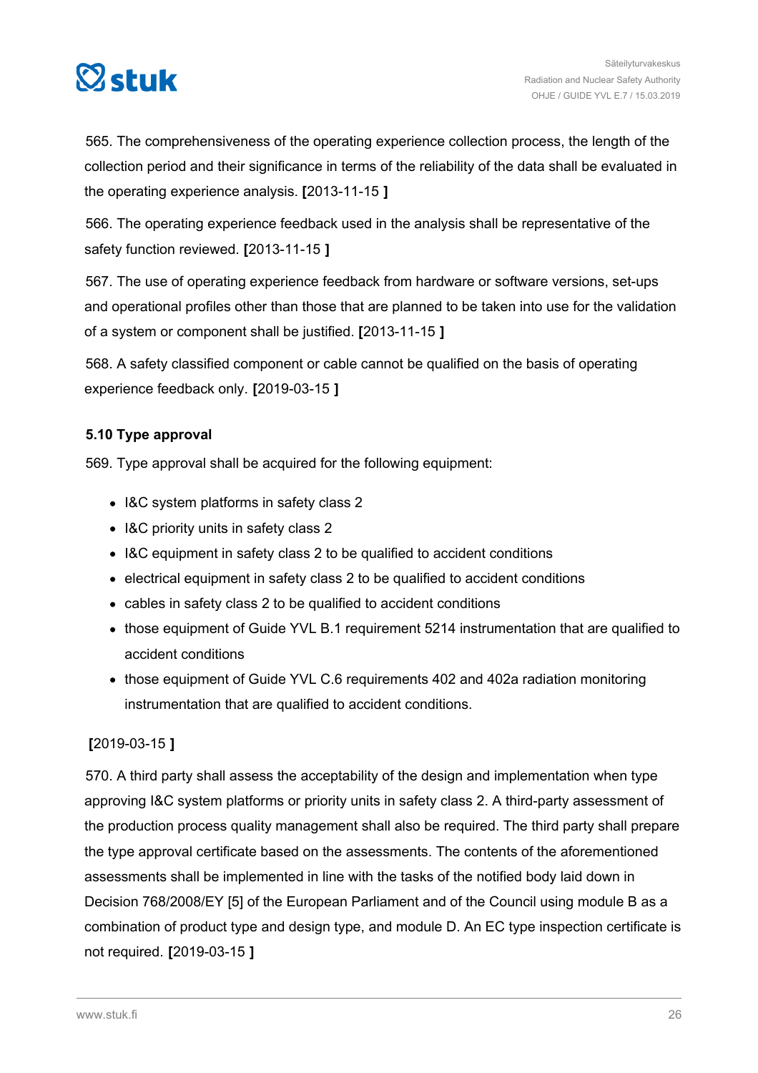<span id="page-25-0"></span>

565. The comprehensiveness of the operating experience collection process, the length of the collection period and their significance in terms of the reliability of the data shall be evaluated in the operating experience analysis. **[**2013-11-15 **]**

566. The operating experience feedback used in the analysis shall be representative of the safety function reviewed. **[**2013-11-15 **]**

567. The use of operating experience feedback from hardware or software versions, set-ups and operational profiles other than those that are planned to be taken into use for the validation of a system or component shall be justified. **[**2013-11-15 **]**

568. A safety classified component or cable cannot be qualified on the basis of operating experience feedback only. **[**2019-03-15 **]**

### **5.10 Type approval**

569. Type approval shall be acquired for the following equipment:

- I&C system platforms in safety class 2
- I&C priority units in safety class 2
- I&C equipment in safety class 2 to be qualified to accident conditions
- electrical equipment in safety class 2 to be qualified to accident conditions
- cables in safety class 2 to be qualified to accident conditions
- those equipment of Guide YVL B.1 requirement 5214 instrumentation that are qualified to accident conditions
- those equipment of Guide YVL C.6 requirements 402 and 402a radiation monitoring instrumentation that are qualified to accident conditions.

### **[**2019-03-15 **]**

570. A third party shall assess the acceptability of the design and implementation when type approving I&C system platforms or priority units in safety class 2. A third-party assessment of the production process quality management shall also be required. The third party shall prepare the type approval certificate based on the assessments. The contents of the aforementioned assessments shall be implemented in line with the tasks of the notified body laid down in Decision 768/2008/EY [5] of the European Parliament and of the Council using module B as a combination of product type and design type, and module D. An EC type inspection certificate is not required. **[**2019-03-15 **]**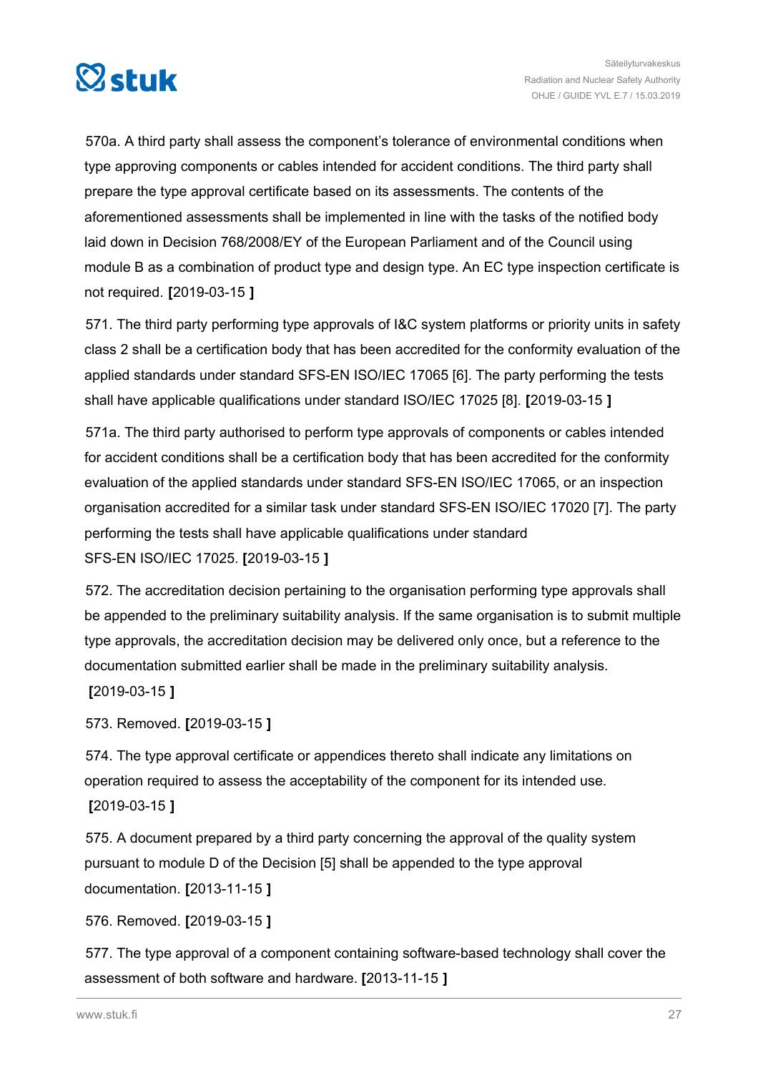

570a. A third party shall assess the component's tolerance of environmental conditions when type approving components or cables intended for accident conditions. The third party shall prepare the type approval certificate based on its assessments. The contents of the aforementioned assessments shall be implemented in line with the tasks of the notified body laid down in Decision 768/2008/EY of the European Parliament and of the Council using module B as a combination of product type and design type. An EC type inspection certificate is not required. **[**2019-03-15 **]**

571. The third party performing type approvals of I&C system platforms or priority units in safety class 2 shall be a certification body that has been accredited for the conformity evaluation of the applied standards under standard SFS-EN ISO/IEC 17065 [6]. The party performing the tests shall have applicable qualifications under standard ISO/IEC 17025 [8]. **[**2019-03-15 **]**

571a. The third party authorised to perform type approvals of components or cables intended for accident conditions shall be a certification body that has been accredited for the conformity evaluation of the applied standards under standard SFS-EN ISO/IEC 17065, or an inspection organisation accredited for a similar task under standard SFS-EN ISO/IEC 17020 [7]. The party performing the tests shall have applicable qualifications under standard SFS-EN ISO/IEC 17025. **[**2019-03-15 **]**

572. The accreditation decision pertaining to the organisation performing type approvals shall be appended to the preliminary suitability analysis. If the same organisation is to submit multiple type approvals, the accreditation decision may be delivered only once, but a reference to the documentation submitted earlier shall be made in the preliminary suitability analysis.

**[**2019-03-15 **]**

573. Removed. **[**2019-03-15 **]**

574. The type approval certificate or appendices thereto shall indicate any limitations on operation required to assess the acceptability of the component for its intended use. **[**2019-03-15 **]**

575. A document prepared by a third party concerning the approval of the quality system pursuant to module D of the Decision [5] shall be appended to the type approval documentation. **[**2013-11-15 **]**

576. Removed. **[**2019-03-15 **]**

577. The type approval of a component containing software-based technology shall cover the assessment of both software and hardware. **[**2013-11-15 **]**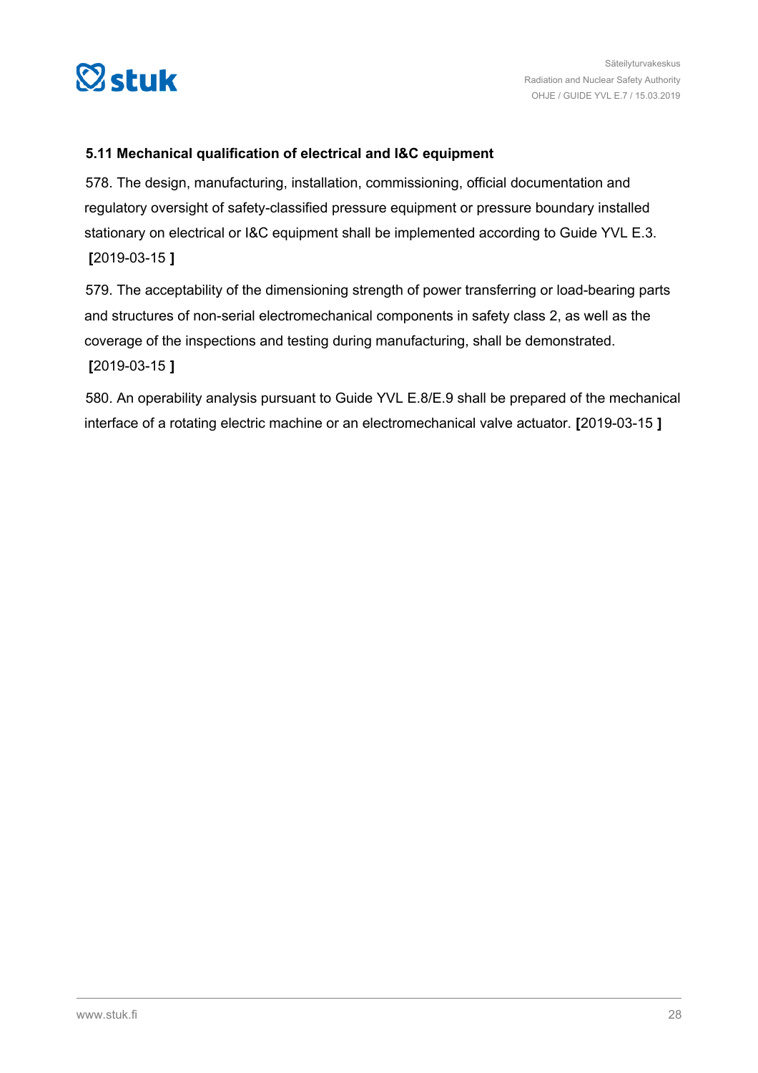<span id="page-27-0"></span>

### **5.11 Mechanical qualification of electrical and I&C equipment**

578. The design, manufacturing, installation, commissioning, official documentation and regulatory oversight of safety-classified pressure equipment or pressure boundary installed stationary on electrical or I&C equipment shall be implemented according to Guide YVL E.3. **[**2019-03-15 **]**

579. The acceptability of the dimensioning strength of power transferring or load-bearing parts and structures of non-serial electromechanical components in safety class 2, as well as the coverage of the inspections and testing during manufacturing, shall be demonstrated. **[**2019-03-15 **]**

580. An operability analysis pursuant to Guide YVL E.8/E.9 shall be prepared of the mechanical interface of a rotating electric machine or an electromechanical valve actuator. **[**2019-03-15 **]**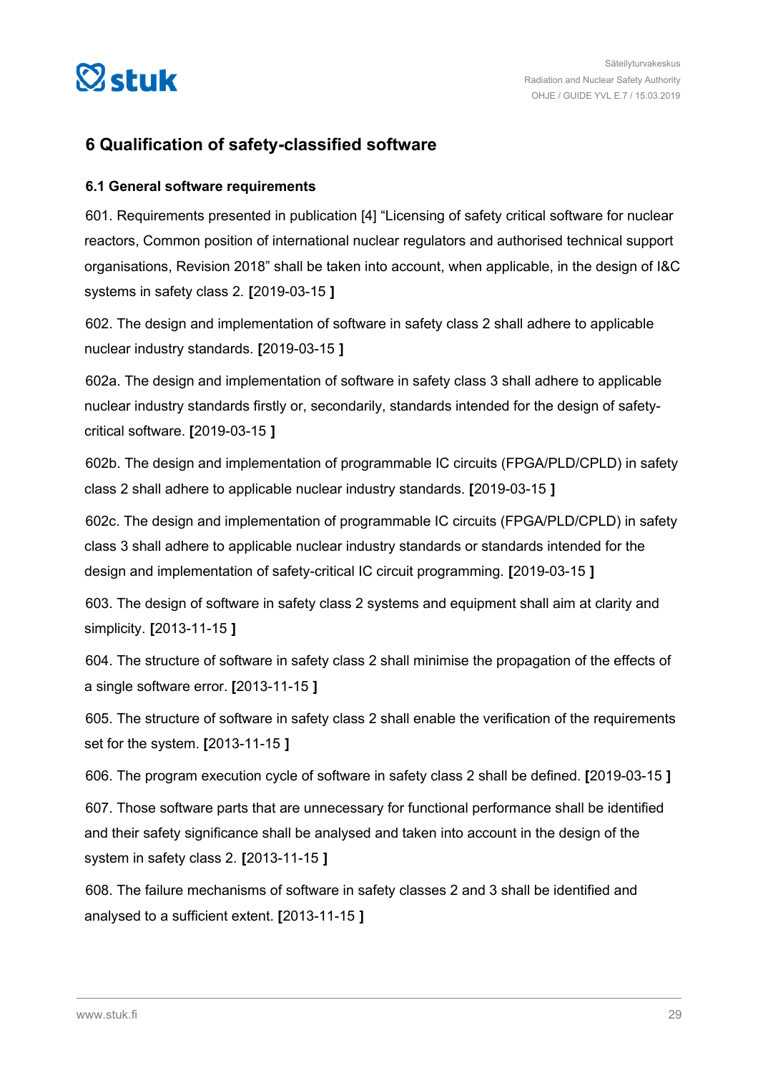<span id="page-28-0"></span>

### **6 Qualification of safety-classified software**

#### **6.1 General software requirements**

601. Requirements presented in publication [4] "Licensing of safety critical software for nuclear reactors, Common position of international nuclear regulators and authorised technical support organisations, Revision 2018" shall be taken into account, when applicable, in the design of I&C systems in safety class 2. **[**2019-03-15 **]**

602. The design and implementation of software in safety class 2 shall adhere to applicable nuclear industry standards. **[**2019-03-15 **]**

602a. The design and implementation of software in safety class 3 shall adhere to applicable nuclear industry standards firstly or, secondarily, standards intended for the design of safetycritical software. **[**2019-03-15 **]**

602b. The design and implementation of programmable IC circuits (FPGA/PLD/CPLD) in safety class 2 shall adhere to applicable nuclear industry standards. **[**2019-03-15 **]**

602c. The design and implementation of programmable IC circuits (FPGA/PLD/CPLD) in safety class 3 shall adhere to applicable nuclear industry standards or standards intended for the design and implementation of safety-critical IC circuit programming. **[**2019-03-15 **]**

603. The design of software in safety class 2 systems and equipment shall aim at clarity and simplicity. **[**2013-11-15 **]**

604. The structure of software in safety class 2 shall minimise the propagation of the effects of a single software error. **[**2013-11-15 **]**

605. The structure of software in safety class 2 shall enable the verification of the requirements set for the system. **[**2013-11-15 **]**

606. The program execution cycle of software in safety class 2 shall be defined. **[**2019-03-15 **]**

607. Those software parts that are unnecessary for functional performance shall be identified and their safety significance shall be analysed and taken into account in the design of the system in safety class 2. **[**2013-11-15 **]**

608. The failure mechanisms of software in safety classes 2 and 3 shall be identified and analysed to a sufficient extent. **[**2013-11-15 **]**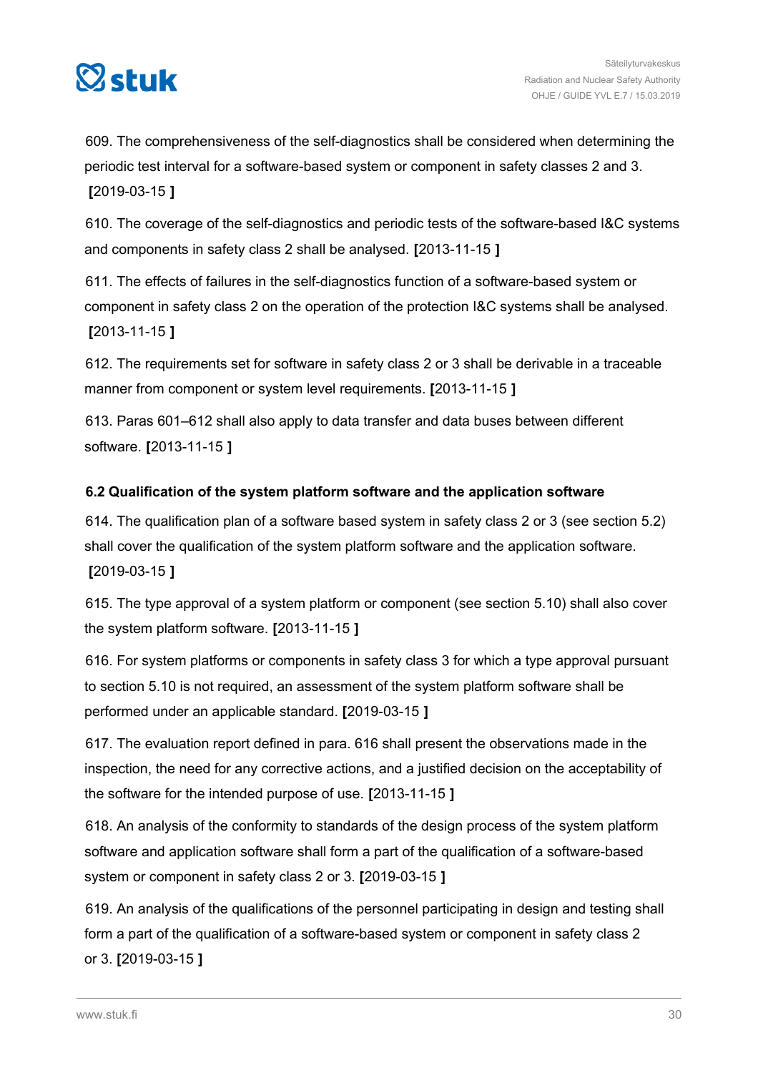<span id="page-29-0"></span>

609. The comprehensiveness of the self-diagnostics shall be considered when determining the periodic test interval for a software-based system or component in safety classes 2 and 3. **[**2019-03-15 **]**

610. The coverage of the self-diagnostics and periodic tests of the software-based I&C systems and components in safety class 2 shall be analysed. **[**2013-11-15 **]**

611. The effects of failures in the self-diagnostics function of a software-based system or component in safety class 2 on the operation of the protection I&C systems shall be analysed. **[**2013-11-15 **]**

612. The requirements set for software in safety class 2 or 3 shall be derivable in a traceable manner from component or system level requirements. **[**2013-11-15 **]**

613. Paras 601–612 shall also apply to data transfer and data buses between different software. **[**2013-11-15 **]**

### **6.2 Qualification of the system platform software and the application software**

614. The qualification plan of a software based system in safety class 2 or 3 (see section 5.2) shall cover the qualification of the system platform software and the application software. **[**2019-03-15 **]**

615. The type approval of a system platform or component (see section 5.10) shall also cover the system platform software. **[**2013-11-15 **]**

616. For system platforms or components in safety class 3 for which a type approval pursuant to section 5.10 is not required, an assessment of the system platform software shall be performed under an applicable standard. **[**2019-03-15 **]**

617. The evaluation report defined in para. 616 shall present the observations made in the inspection, the need for any corrective actions, and a justified decision on the acceptability of the software for the intended purpose of use. **[**2013-11-15 **]**

618. An analysis of the conformity to standards of the design process of the system platform software and application software shall form a part of the qualification of a software-based system or component in safety class 2 or 3. **[**2019-03-15 **]**

619. An analysis of the qualifications of the personnel participating in design and testing shall form a part of the qualification of a software-based system or component in safety class 2 or 3. **[**2019-03-15 **]**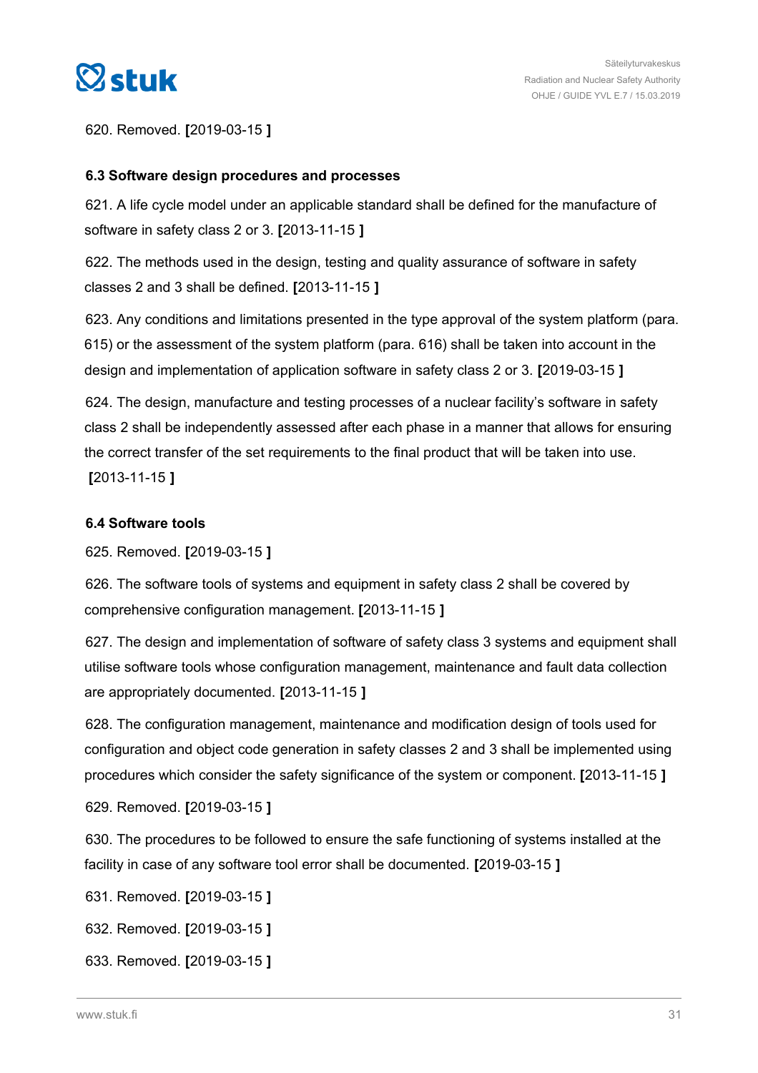<span id="page-30-0"></span>

620. Removed. **[**2019-03-15 **]**

### **6.3 Software design procedures and processes**

621. A life cycle model under an applicable standard shall be defined for the manufacture of software in safety class 2 or 3. **[**2013-11-15 **]**

622. The methods used in the design, testing and quality assurance of software in safety classes 2 and 3 shall be defined. **[**2013-11-15 **]**

623. Any conditions and limitations presented in the type approval of the system platform (para. 615) or the assessment of the system platform (para. 616) shall be taken into account in the design and implementation of application software in safety class 2 or 3. **[**2019-03-15 **]**

624. The design, manufacture and testing processes of a nuclear facility's software in safety class 2 shall be independently assessed after each phase in a manner that allows for ensuring the correct transfer of the set requirements to the final product that will be taken into use. **[**2013-11-15 **]**

#### **6.4 Software tools**

625. Removed. **[**2019-03-15 **]**

626. The software tools of systems and equipment in safety class 2 shall be covered by comprehensive configuration management. **[**2013-11-15 **]**

627. The design and implementation of software of safety class 3 systems and equipment shall utilise software tools whose configuration management, maintenance and fault data collection are appropriately documented. **[**2013-11-15 **]**

628. The configuration management, maintenance and modification design of tools used for configuration and object code generation in safety classes 2 and 3 shall be implemented using procedures which consider the safety significance of the system or component. **[**2013-11-15 **]**

629. Removed. **[**2019-03-15 **]**

630. The procedures to be followed to ensure the safe functioning of systems installed at the facility in case of any software tool error shall be documented. **[**2019-03-15 **]**

631. Removed. **[**2019-03-15 **]**

632. Removed. **[**2019-03-15 **]**

633. Removed. **[**2019-03-15 **]**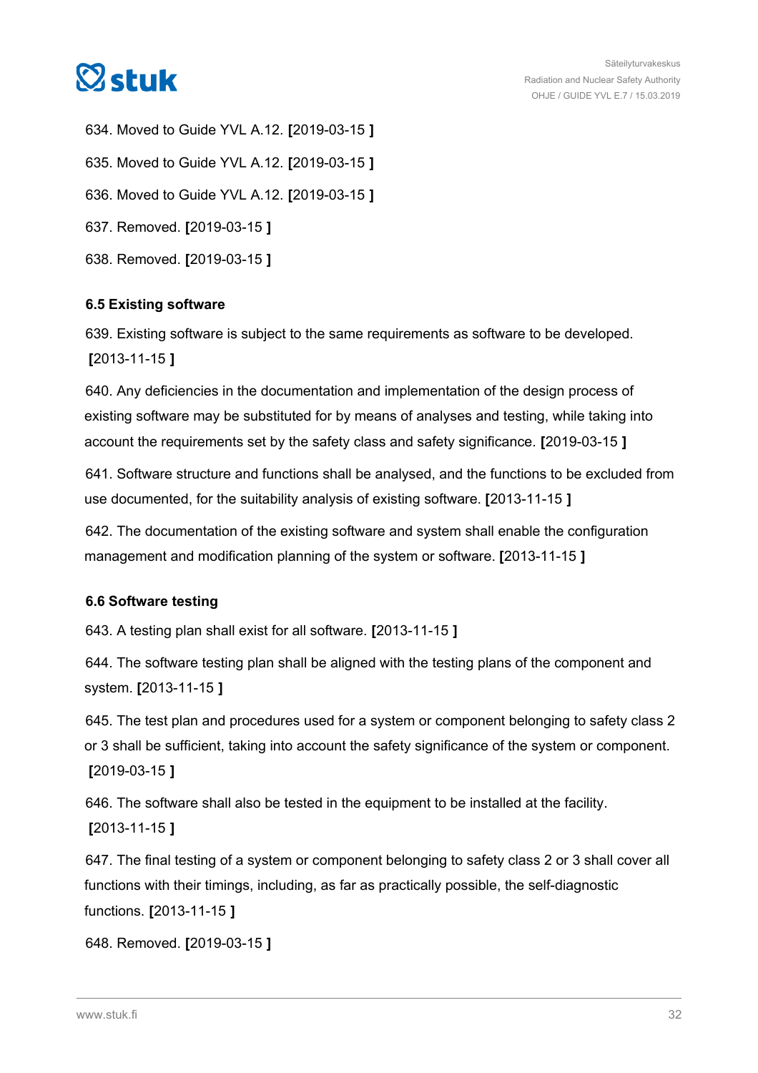<span id="page-31-0"></span>

634. Moved to Guide YVL A.12. **[**2019-03-15 **]** 635. Moved to Guide YVL A.12. **[**2019-03-15 **]** 636. Moved to Guide YVL A.12. **[**2019-03-15 **]** 637. Removed. **[**2019-03-15 **]** 638. Removed. **[**2019-03-15 **]**

### **6.5 Existing software**

639. Existing software is subject to the same requirements as software to be developed. **[**2013-11-15 **]**

640. Any deficiencies in the documentation and implementation of the design process of existing software may be substituted for by means of analyses and testing, while taking into account the requirements set by the safety class and safety significance. **[**2019-03-15 **]**

641. Software structure and functions shall be analysed, and the functions to be excluded from use documented, for the suitability analysis of existing software. **[**2013-11-15 **]**

642. The documentation of the existing software and system shall enable the configuration management and modification planning of the system or software. **[**2013-11-15 **]**

### **6.6 Software testing**

643. A testing plan shall exist for all software. **[**2013-11-15 **]**

644. The software testing plan shall be aligned with the testing plans of the component and system. **[**2013-11-15 **]**

645. The test plan and procedures used for a system or component belonging to safety class 2 or 3 shall be sufficient, taking into account the safety significance of the system or component. **[**2019-03-15 **]**

646. The software shall also be tested in the equipment to be installed at the facility. **[**2013-11-15 **]**

647. The final testing of a system or component belonging to safety class 2 or 3 shall cover all functions with their timings, including, as far as practically possible, the self-diagnostic functions. **[**2013-11-15 **]**

```
648. Removed. [2019-03-15 ]
```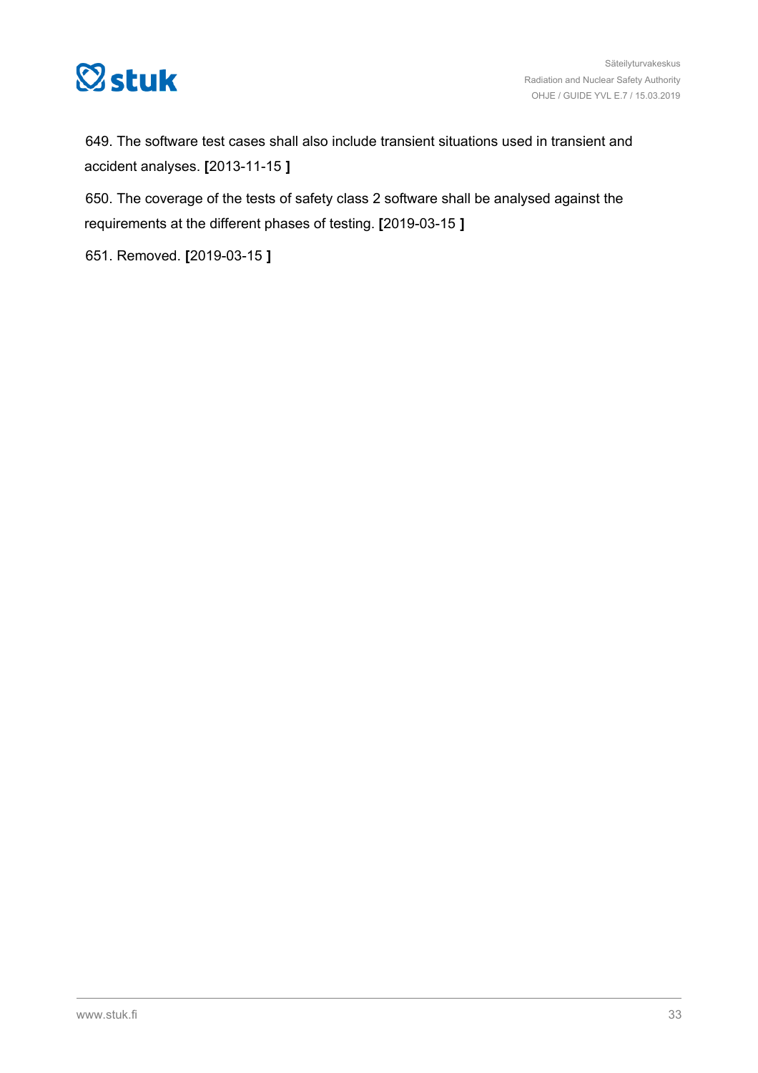

649. The software test cases shall also include transient situations used in transient and accident analyses. **[**2013-11-15 **]**

650. The coverage of the tests of safety class 2 software shall be analysed against the requirements at the different phases of testing. **[**2019-03-15 **]**

651. Removed. **[**2019-03-15 **]**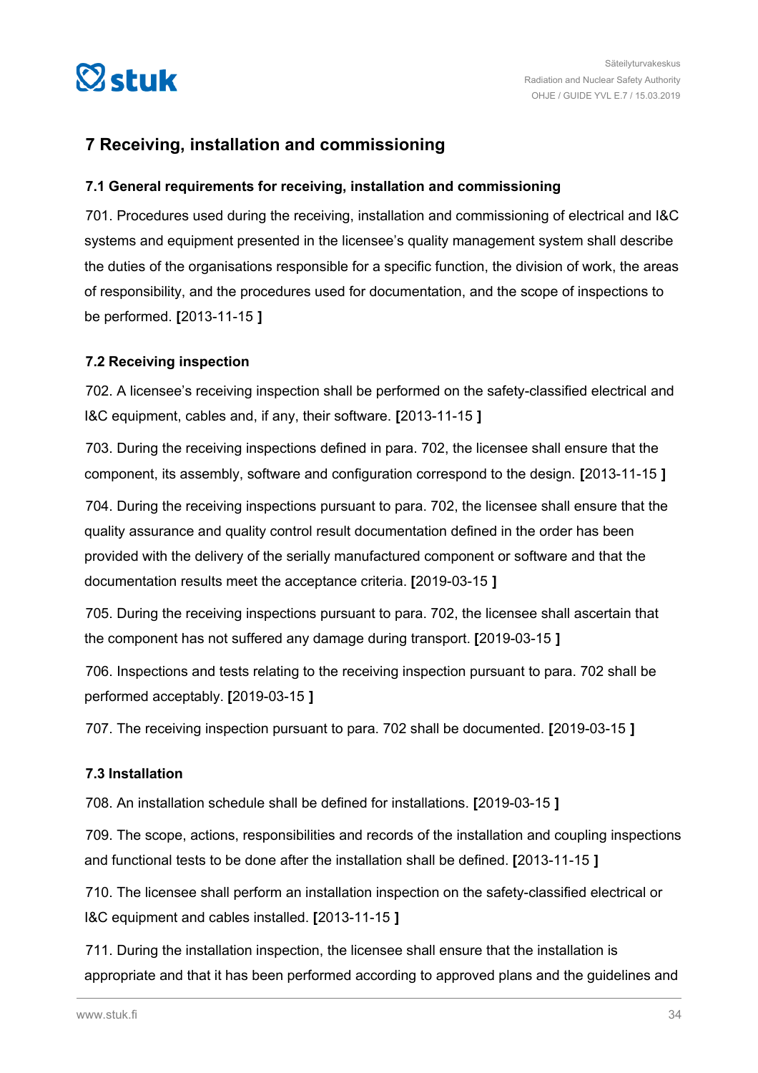<span id="page-33-0"></span>

### **7 Receiving, installation and commissioning**

### **7.1 General requirements for receiving, installation and commissioning**

701. Procedures used during the receiving, installation and commissioning of electrical and I&C systems and equipment presented in the licensee's quality management system shall describe the duties of the organisations responsible for a specific function, the division of work, the areas of responsibility, and the procedures used for documentation, and the scope of inspections to be performed. **[**2013-11-15 **]**

### **7.2 Receiving inspection**

702. A licensee's receiving inspection shall be performed on the safety-classified electrical and I&C equipment, cables and, if any, their software. **[**2013-11-15 **]**

703. During the receiving inspections defined in para. 702, the licensee shall ensure that the component, its assembly, software and configuration correspond to the design. **[**2013-11-15 **]**

704. During the receiving inspections pursuant to para. 702, the licensee shall ensure that the quality assurance and quality control result documentation defined in the order has been provided with the delivery of the serially manufactured component or software and that the documentation results meet the acceptance criteria. **[**2019-03-15 **]**

705. During the receiving inspections pursuant to para. 702, the licensee shall ascertain that the component has not suffered any damage during transport. **[**2019-03-15 **]**

706. Inspections and tests relating to the receiving inspection pursuant to para. 702 shall be performed acceptably. **[**2019-03-15 **]**

707. The receiving inspection pursuant to para. 702 shall be documented. **[**2019-03-15 **]**

#### **7.3 Installation**

708. An installation schedule shall be defined for installations. **[**2019-03-15 **]**

709. The scope, actions, responsibilities and records of the installation and coupling inspections and functional tests to be done after the installation shall be defined. **[**2013-11-15 **]**

710. The licensee shall perform an installation inspection on the safety-classified electrical or I&C equipment and cables installed. **[**2013-11-15 **]**

711. During the installation inspection, the licensee shall ensure that the installation is appropriate and that it has been performed according to approved plans and the guidelines and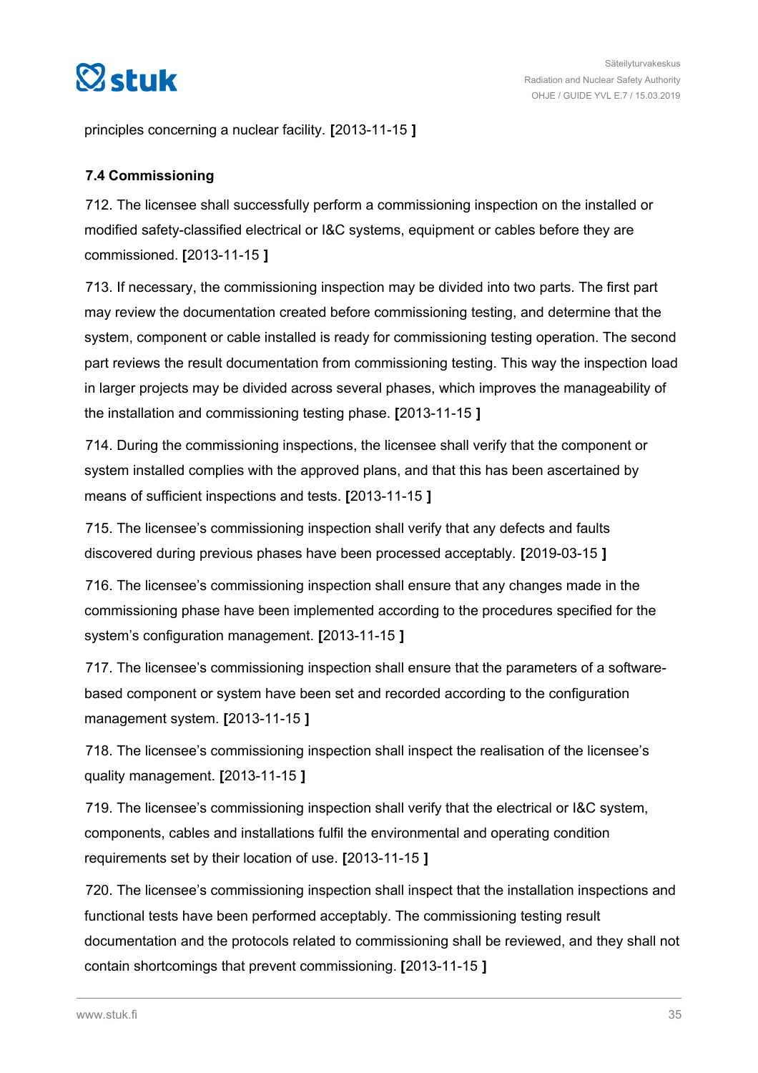<span id="page-34-0"></span>

principles concerning a nuclear facility. **[**2013-11-15 **]**

### **7.4 Commissioning**

712. The licensee shall successfully perform a commissioning inspection on the installed or modified safety-classified electrical or I&C systems, equipment or cables before they are commissioned. **[**2013-11-15 **]**

713. If necessary, the commissioning inspection may be divided into two parts. The first part may review the documentation created before commissioning testing, and determine that the system, component or cable installed is ready for commissioning testing operation. The second part reviews the result documentation from commissioning testing. This way the inspection load in larger projects may be divided across several phases, which improves the manageability of the installation and commissioning testing phase. **[**2013-11-15 **]**

714. During the commissioning inspections, the licensee shall verify that the component or system installed complies with the approved plans, and that this has been ascertained by means of sufficient inspections and tests. **[**2013-11-15 **]**

715. The licensee's commissioning inspection shall verify that any defects and faults discovered during previous phases have been processed acceptably. **[**2019-03-15 **]**

716. The licensee's commissioning inspection shall ensure that any changes made in the commissioning phase have been implemented according to the procedures specified for the system's configuration management. **[**2013-11-15 **]**

717. The licensee's commissioning inspection shall ensure that the parameters of a softwarebased component or system have been set and recorded according to the configuration management system. **[**2013-11-15 **]**

718. The licensee's commissioning inspection shall inspect the realisation of the licensee's quality management. **[**2013-11-15 **]**

719. The licensee's commissioning inspection shall verify that the electrical or I&C system, components, cables and installations fulfil the environmental and operating condition requirements set by their location of use. **[**2013-11-15 **]**

720. The licensee's commissioning inspection shall inspect that the installation inspections and functional tests have been performed acceptably. The commissioning testing result documentation and the protocols related to commissioning shall be reviewed, and they shall not contain shortcomings that prevent commissioning. **[**2013-11-15 **]**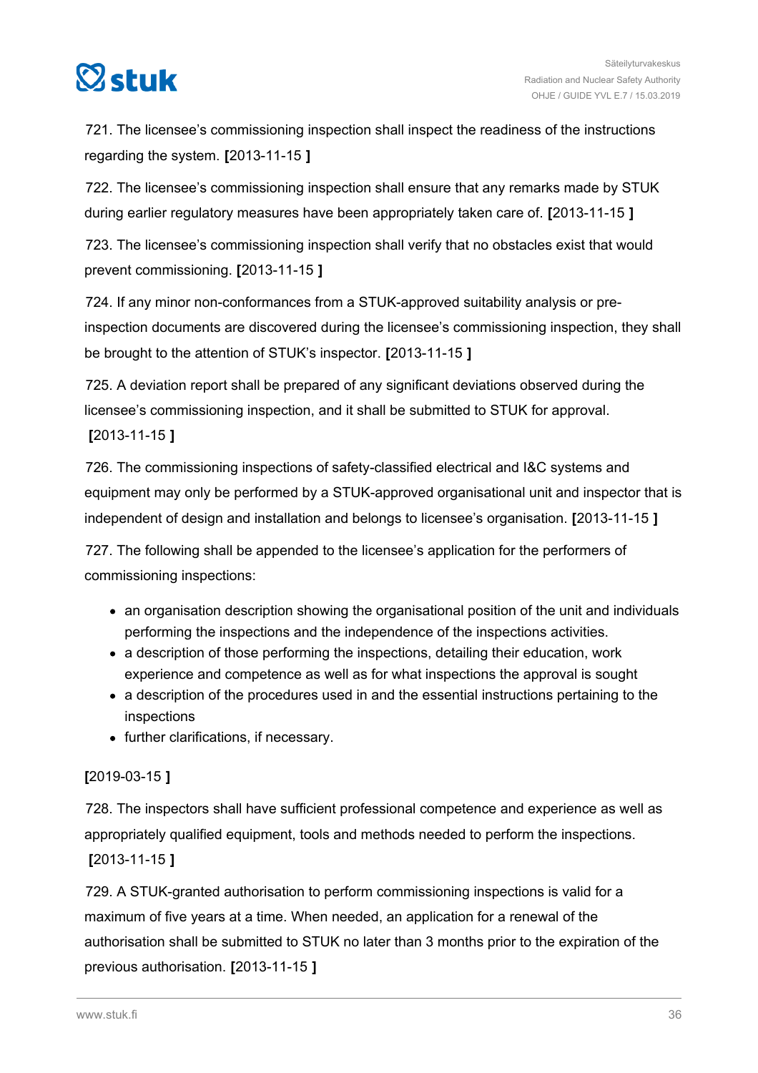

721. The licensee's commissioning inspection shall inspect the readiness of the instructions regarding the system. **[**2013-11-15 **]**

722. The licensee's commissioning inspection shall ensure that any remarks made by STUK during earlier regulatory measures have been appropriately taken care of. **[**2013-11-15 **]**

723. The licensee's commissioning inspection shall verify that no obstacles exist that would prevent commissioning. **[**2013-11-15 **]**

724. If any minor non-conformances from a STUK-approved suitability analysis or preinspection documents are discovered during the licensee's commissioning inspection, they shall be brought to the attention of STUK's inspector. **[**2013-11-15 **]**

725. A deviation report shall be prepared of any significant deviations observed during the licensee's commissioning inspection, and it shall be submitted to STUK for approval.

**[**2013-11-15 **]**

726. The commissioning inspections of safety-classified electrical and I&C systems and equipment may only be performed by a STUK-approved organisational unit and inspector that is independent of design and installation and belongs to licensee's organisation. **[**2013-11-15 **]**

727. The following shall be appended to the licensee's application for the performers of commissioning inspections:

- an organisation description showing the organisational position of the unit and individuals performing the inspections and the independence of the inspections activities.
- a description of those performing the inspections, detailing their education, work experience and competence as well as for what inspections the approval is sought
- a description of the procedures used in and the essential instructions pertaining to the inspections
- further clarifications, if necessary.

### **[**2019-03-15 **]**

728. The inspectors shall have sufficient professional competence and experience as well as appropriately qualified equipment, tools and methods needed to perform the inspections. **[**2013-11-15 **]**

729. A STUK-granted authorisation to perform commissioning inspections is valid for a maximum of five years at a time. When needed, an application for a renewal of the authorisation shall be submitted to STUK no later than 3 months prior to the expiration of the previous authorisation. **[**2013-11-15 **]**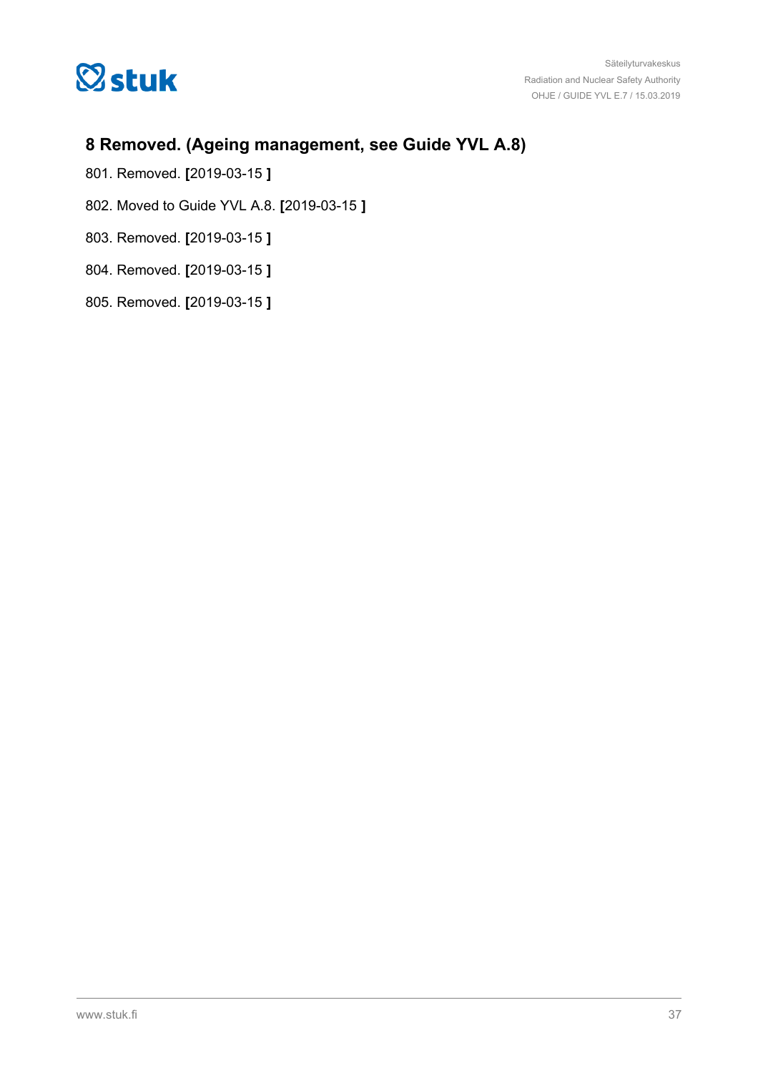<span id="page-36-0"></span>

### **8 Removed. (Ageing management, see Guide YVL A.8)**

- 801. Removed. **[**2019-03-15 **]**
- 802. Moved to Guide YVL A.8. **[**2019-03-15 **]**
- 803. Removed. **[**2019-03-15 **]**
- 804. Removed. **[**2019-03-15 **]**
- 805. Removed. **[**2019-03-15 **]**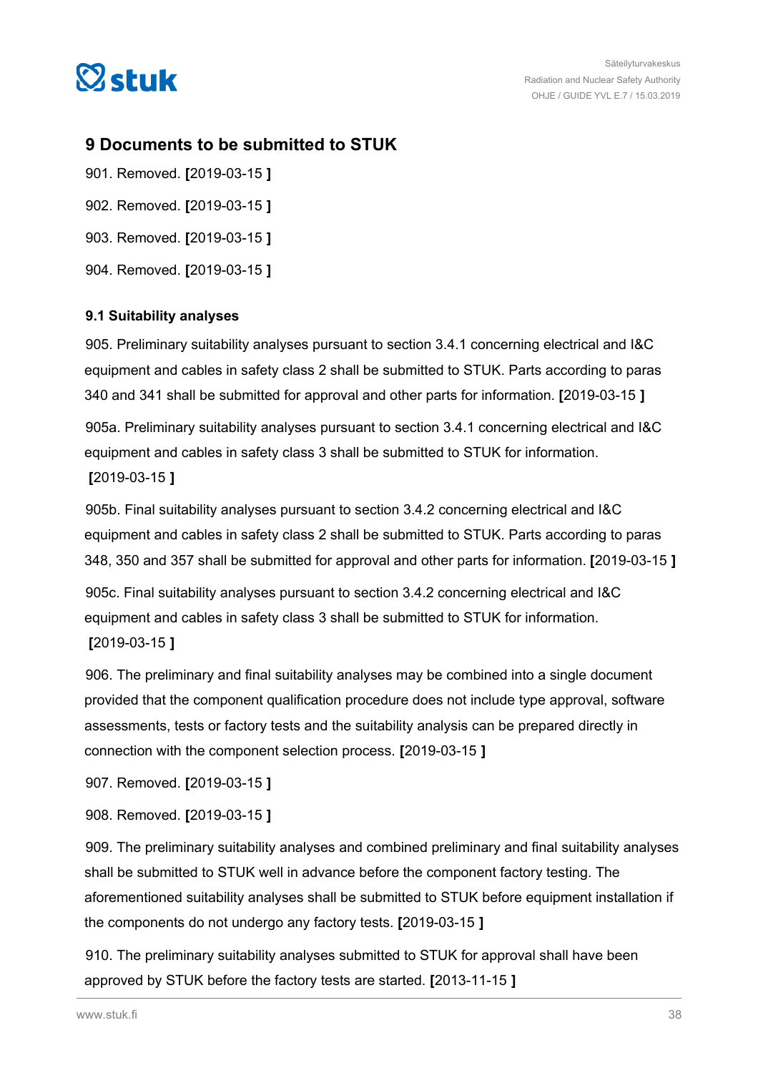<span id="page-37-0"></span>

### **9 Documents to be submitted to STUK**

- 901. Removed. **[**2019-03-15 **]** 902. Removed. **[**2019-03-15 **]**
- 903. Removed. **[**2019-03-15 **]**
- 904. Removed. **[**2019-03-15 **]**

### **9.1 Suitability analyses**

905. Preliminary suitability analyses pursuant to section 3.4.1 concerning electrical and I&C equipment and cables in safety class 2 shall be submitted to STUK. Parts according to paras 340 and 341 shall be submitted for approval and other parts for information. **[**2019-03-15 **]**

905a. Preliminary suitability analyses pursuant to section 3.4.1 concerning electrical and I&C equipment and cables in safety class 3 shall be submitted to STUK for information. **[**2019-03-15 **]**

905b. Final suitability analyses pursuant to section 3.4.2 concerning electrical and I&C equipment and cables in safety class 2 shall be submitted to STUK. Parts according to paras 348, 350 and 357 shall be submitted for approval and other parts for information. **[**2019-03-15 **]** 905c. Final suitability analyses pursuant to section 3.4.2 concerning electrical and I&C

equipment and cables in safety class 3 shall be submitted to STUK for information. **[**2019-03-15 **]**

906. The preliminary and final suitability analyses may be combined into a single document provided that the component qualification procedure does not include type approval, software assessments, tests or factory tests and the suitability analysis can be prepared directly in connection with the component selection process. **[**2019-03-15 **]**

907. Removed. **[**2019-03-15 **]**

908. Removed. **[**2019-03-15 **]**

909. The preliminary suitability analyses and combined preliminary and final suitability analyses shall be submitted to STUK well in advance before the component factory testing. The aforementioned suitability analyses shall be submitted to STUK before equipment installation if the components do not undergo any factory tests. **[**2019-03-15 **]**

910. The preliminary suitability analyses submitted to STUK for approval shall have been approved by STUK before the factory tests are started. **[**2013-11-15 **]**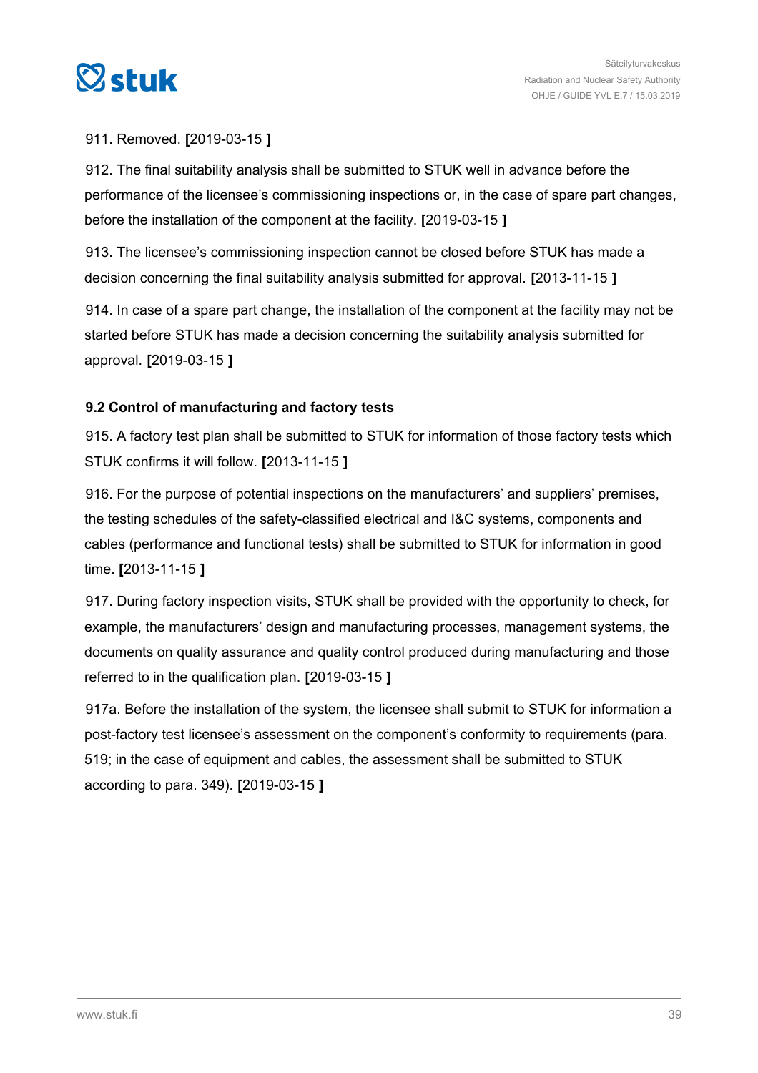<span id="page-38-0"></span>

### 911. Removed. **[**2019-03-15 **]**

912. The final suitability analysis shall be submitted to STUK well in advance before the performance of the licensee's commissioning inspections or, in the case of spare part changes, before the installation of the component at the facility. **[**2019-03-15 **]**

913. The licensee's commissioning inspection cannot be closed before STUK has made a decision concerning the final suitability analysis submitted for approval. **[**2013-11-15 **]**

914. In case of a spare part change, the installation of the component at the facility may not be started before STUK has made a decision concerning the suitability analysis submitted for approval. **[**2019-03-15 **]**

### **9.2 Control of manufacturing and factory tests**

915. A factory test plan shall be submitted to STUK for information of those factory tests which STUK confirms it will follow. **[**2013-11-15 **]**

916. For the purpose of potential inspections on the manufacturers' and suppliers' premises, the testing schedules of the safety-classified electrical and I&C systems, components and cables (performance and functional tests) shall be submitted to STUK for information in good time. **[**2013-11-15 **]**

917. During factory inspection visits, STUK shall be provided with the opportunity to check, for example, the manufacturers' design and manufacturing processes, management systems, the documents on quality assurance and quality control produced during manufacturing and those referred to in the qualification plan. **[**2019-03-15 **]**

917a. Before the installation of the system, the licensee shall submit to STUK for information a post-factory test licensee's assessment on the component's conformity to requirements (para. 519; in the case of equipment and cables, the assessment shall be submitted to STUK according to para. 349). **[**2019-03-15 **]**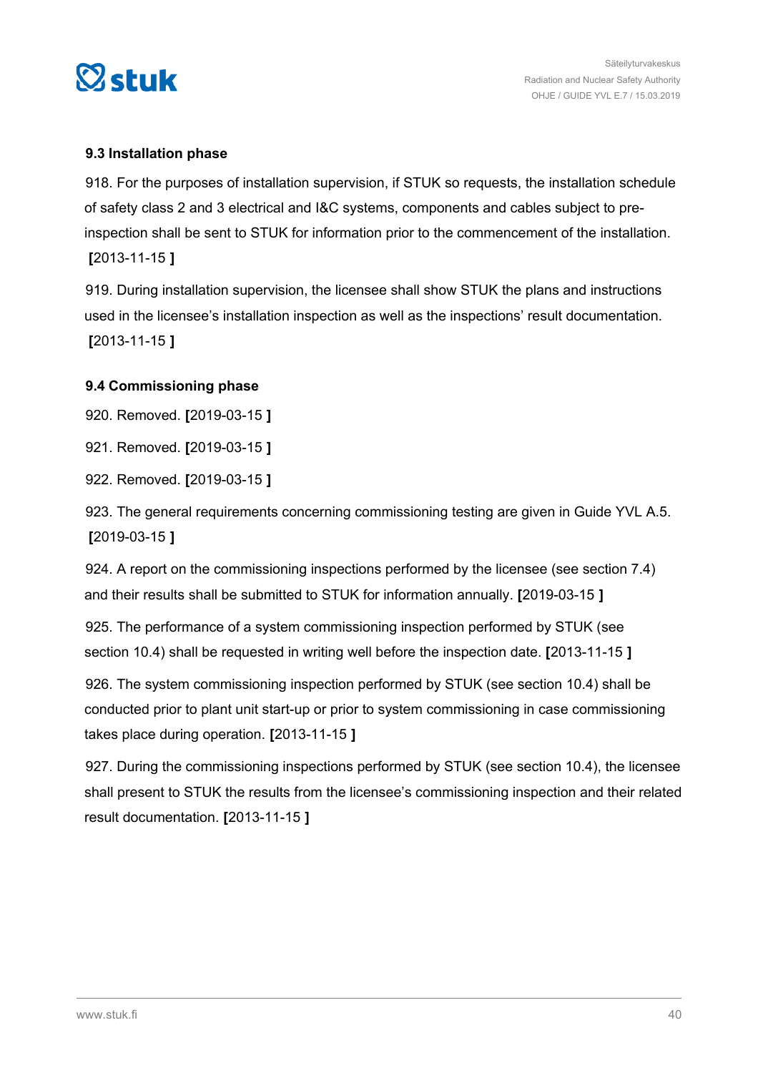<span id="page-39-0"></span>

### **9.3 Installation phase**

918. For the purposes of installation supervision, if STUK so requests, the installation schedule of safety class 2 and 3 electrical and I&C systems, components and cables subject to preinspection shall be sent to STUK for information prior to the commencement of the installation. **[**2013-11-15 **]**

919. During installation supervision, the licensee shall show STUK the plans and instructions used in the licensee's installation inspection as well as the inspections' result documentation. **[**2013-11-15 **]**

### **9.4 Commissioning phase**

920. Removed. **[**2019-03-15 **]**

921. Removed. **[**2019-03-15 **]**

922. Removed. **[**2019-03-15 **]**

923. The general requirements concerning commissioning testing are given in Guide YVL A.5. **[**2019-03-15 **]**

924. A report on the commissioning inspections performed by the licensee (see section 7.4) and their results shall be submitted to STUK for information annually. **[**2019-03-15 **]**

925. The performance of a system commissioning inspection performed by STUK (see section 10.4) shall be requested in writing well before the inspection date. **[**2013-11-15 **]**

926. The system commissioning inspection performed by STUK (see section 10.4) shall be conducted prior to plant unit start-up or prior to system commissioning in case commissioning takes place during operation. **[**2013-11-15 **]**

927. During the commissioning inspections performed by STUK (see section 10.4), the licensee shall present to STUK the results from the licensee's commissioning inspection and their related result documentation. **[**2013-11-15 **]**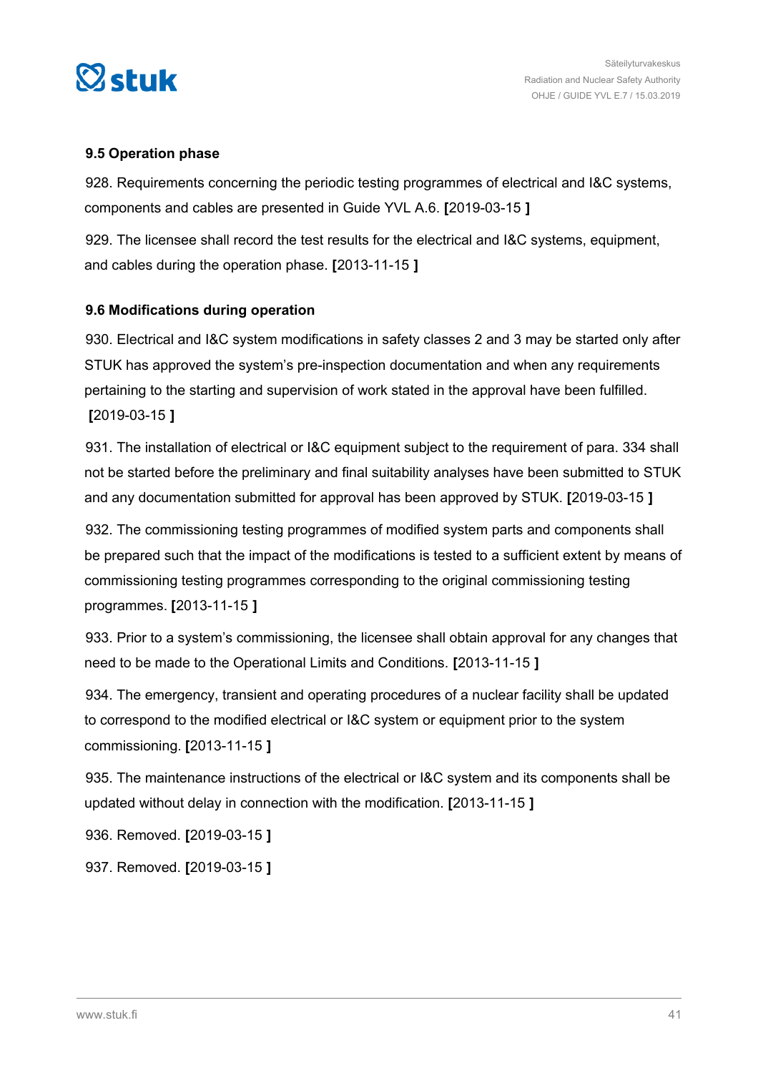<span id="page-40-0"></span>

### **9.5 Operation phase**

928. Requirements concerning the periodic testing programmes of electrical and I&C systems, components and cables are presented in Guide YVL A.6. **[**2019-03-15 **]**

929. The licensee shall record the test results for the electrical and I&C systems, equipment, and cables during the operation phase. **[**2013-11-15 **]**

### **9.6 Modifications during operation**

930. Electrical and I&C system modifications in safety classes 2 and 3 may be started only after STUK has approved the system's pre-inspection documentation and when any requirements pertaining to the starting and supervision of work stated in the approval have been fulfilled. **[**2019-03-15 **]**

931. The installation of electrical or I&C equipment subject to the requirement of para. 334 shall not be started before the preliminary and final suitability analyses have been submitted to STUK and any documentation submitted for approval has been approved by STUK. **[**2019-03-15 **]**

932. The commissioning testing programmes of modified system parts and components shall be prepared such that the impact of the modifications is tested to a sufficient extent by means of commissioning testing programmes corresponding to the original commissioning testing programmes. **[**2013-11-15 **]**

933. Prior to a system's commissioning, the licensee shall obtain approval for any changes that need to be made to the Operational Limits and Conditions. **[**2013-11-15 **]**

934. The emergency, transient and operating procedures of a nuclear facility shall be updated to correspond to the modified electrical or I&C system or equipment prior to the system commissioning. **[**2013-11-15 **]**

935. The maintenance instructions of the electrical or I&C system and its components shall be updated without delay in connection with the modification. **[**2013-11-15 **]**

936. Removed. **[**2019-03-15 **]**

937. Removed. **[**2019-03-15 **]**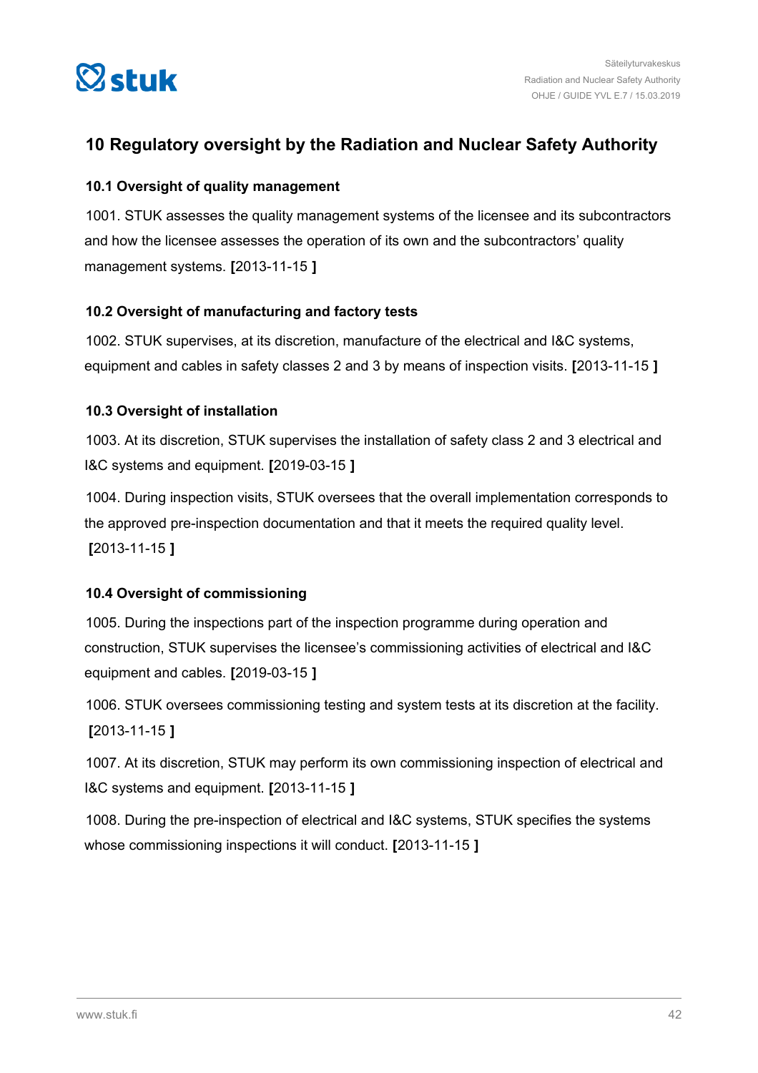<span id="page-41-0"></span>

### **10 Regulatory oversight by the Radiation and Nuclear Safety Authority**

### **10.1 Oversight of quality management**

1001. STUK assesses the quality management systems of the licensee and its subcontractors and how the licensee assesses the operation of its own and the subcontractors' quality management systems. **[**2013-11-15 **]**

### **10.2 Oversight of manufacturing and factory tests**

1002. STUK supervises, at its discretion, manufacture of the electrical and I&C systems, equipment and cables in safety classes 2 and 3 by means of inspection visits. **[**2013-11-15 **]**

### **10.3 Oversight of installation**

1003. At its discretion, STUK supervises the installation of safety class 2 and 3 electrical and I&C systems and equipment. **[**2019-03-15 **]**

1004. During inspection visits, STUK oversees that the overall implementation corresponds to the approved pre-inspection documentation and that it meets the required quality level. **[**2013-11-15 **]**

### **10.4 Oversight of commissioning**

1005. During the inspections part of the inspection programme during operation and construction, STUK supervises the licensee's commissioning activities of electrical and I&C equipment and cables. **[**2019-03-15 **]**

1006. STUK oversees commissioning testing and system tests at its discretion at the facility. **[**2013-11-15 **]**

1007. At its discretion, STUK may perform its own commissioning inspection of electrical and I&C systems and equipment. **[**2013-11-15 **]**

1008. During the pre-inspection of electrical and I&C systems, STUK specifies the systems whose commissioning inspections it will conduct. **[**2013-11-15 **]**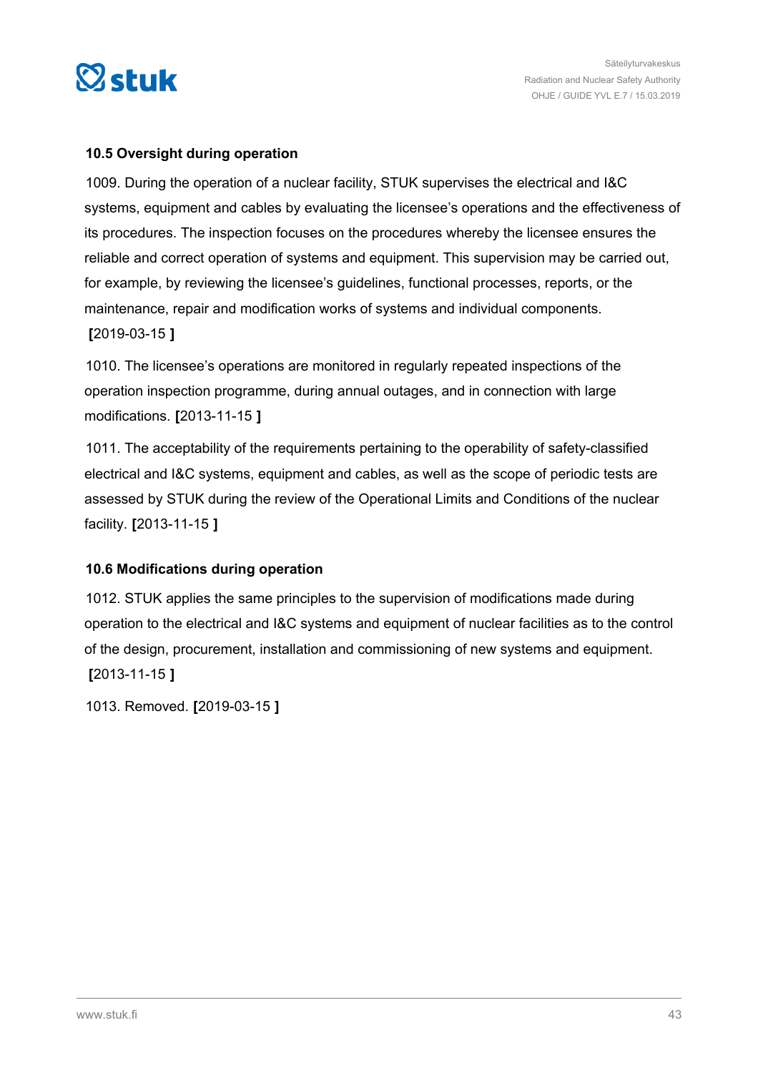<span id="page-42-0"></span>

### **10.5 Oversight during operation**

1009. During the operation of a nuclear facility, STUK supervises the electrical and I&C systems, equipment and cables by evaluating the licensee's operations and the effectiveness of its procedures. The inspection focuses on the procedures whereby the licensee ensures the reliable and correct operation of systems and equipment. This supervision may be carried out, for example, by reviewing the licensee's guidelines, functional processes, reports, or the maintenance, repair and modification works of systems and individual components. **[**2019-03-15 **]**

1010. The licensee's operations are monitored in regularly repeated inspections of the operation inspection programme, during annual outages, and in connection with large modifications. **[**2013-11-15 **]**

1011. The acceptability of the requirements pertaining to the operability of safety-classified electrical and I&C systems, equipment and cables, as well as the scope of periodic tests are assessed by STUK during the review of the Operational Limits and Conditions of the nuclear facility. **[**2013-11-15 **]**

#### **10.6 Modifications during operation**

1012. STUK applies the same principles to the supervision of modifications made during operation to the electrical and I&C systems and equipment of nuclear facilities as to the control of the design, procurement, installation and commissioning of new systems and equipment. **[**2013-11-15 **]**

1013. Removed. **[**2019-03-15 **]**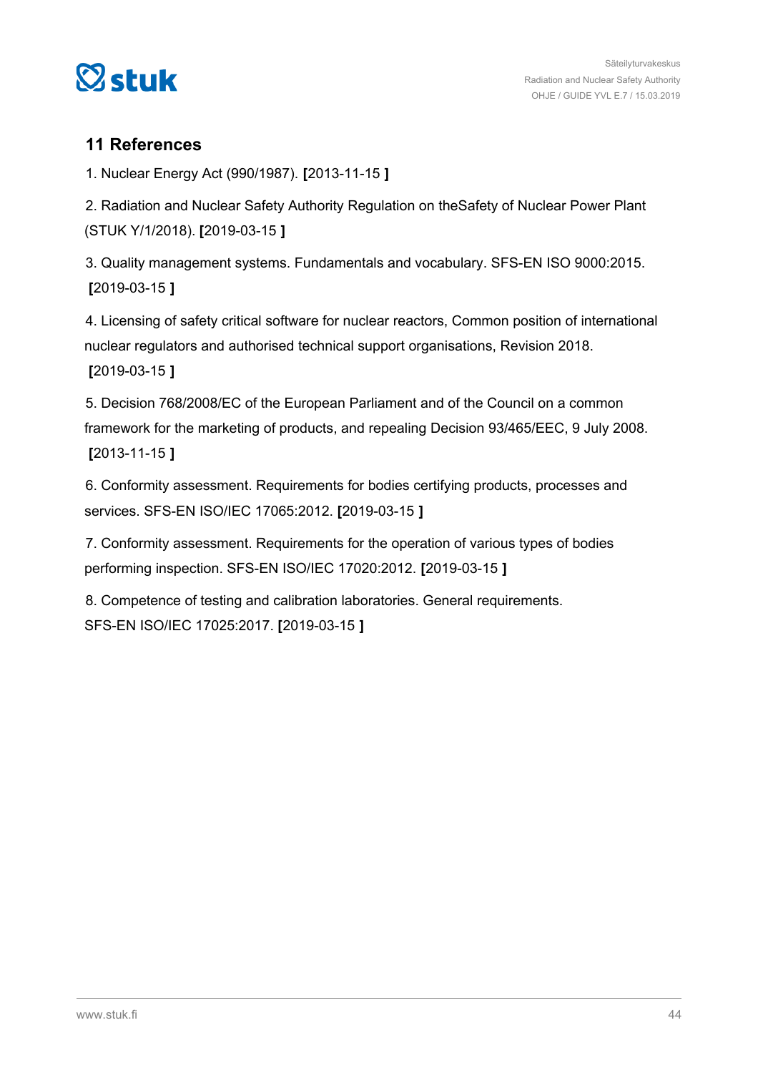<span id="page-43-0"></span>

### **11 References**

1. Nuclear Energy Act (990/1987). **[**2013-11-15 **]**

2. Radiation and Nuclear Safety Authority Regulation on theSafety of Nuclear Power Plant (STUK Y/1/2018). **[**2019-03-15 **]**

3. Quality management systems. Fundamentals and vocabulary. SFS-EN ISO 9000:2015. **[**2019-03-15 **]**

4. Licensing of safety critical software for nuclear reactors, Common position of international nuclear regulators and authorised technical support organisations, Revision 2018. **[**2019-03-15 **]**

5. Decision 768/2008/EC of the European Parliament and of the Council on a common framework for the marketing of products, and repealing Decision 93/465/EEC, 9 July 2008. **[**2013-11-15 **]**

6. Conformity assessment. Requirements for bodies certifying products, processes and services. SFS-EN ISO/IEC 17065:2012. **[**2019-03-15 **]**

7. Conformity assessment. Requirements for the operation of various types of bodies performing inspection. SFS-EN ISO/IEC 17020:2012. **[**2019-03-15 **]**

8. Competence of testing and calibration laboratories. General requirements. SFS-EN ISO/IEC 17025:2017. **[**2019-03-15 **]**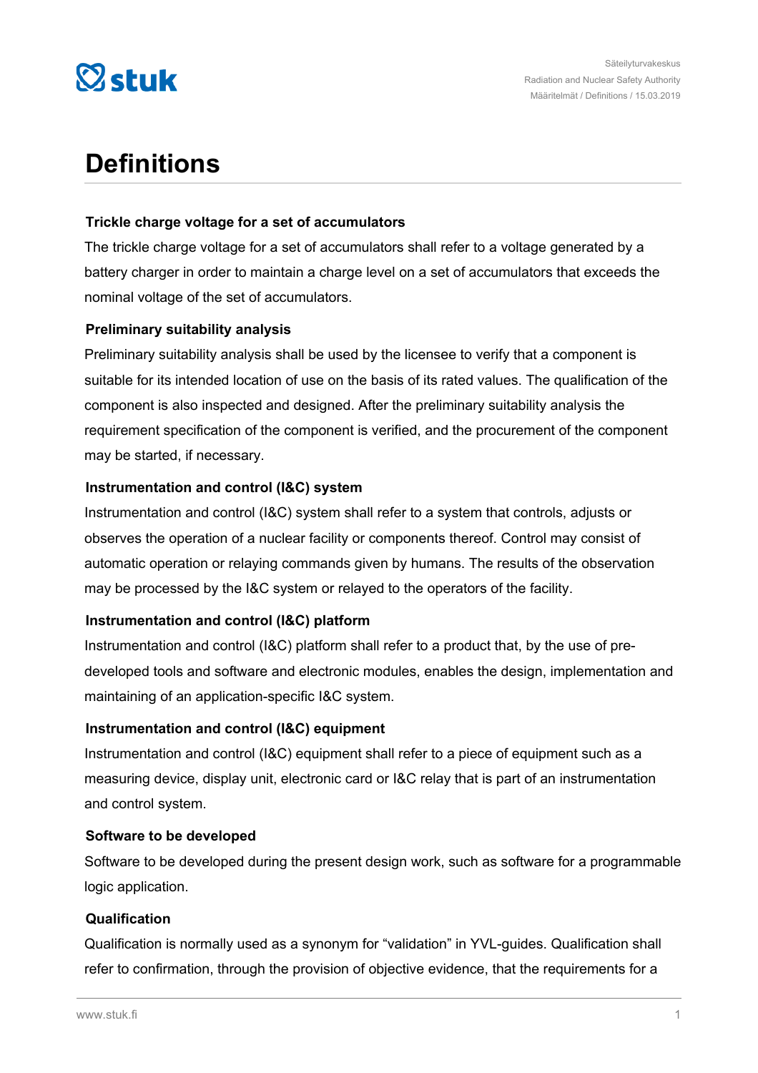

## **Definitions**

### **Trickle charge voltage for a set of accumulators**

The trickle charge voltage for a set of accumulators shall refer to a voltage generated by a battery charger in order to maintain a charge level on a set of accumulators that exceeds the nominal voltage of the set of accumulators.

### **Preliminary suitability analysis**

Preliminary suitability analysis shall be used by the licensee to verify that a component is suitable for its intended location of use on the basis of its rated values. The qualification of the component is also inspected and designed. After the preliminary suitability analysis the requirement specification of the component is verified, and the procurement of the component may be started, if necessary.

### **Instrumentation and control (I&C) system**

Instrumentation and control (I&C) system shall refer to a system that controls, adjusts or observes the operation of a nuclear facility or components thereof. Control may consist of automatic operation or relaying commands given by humans. The results of the observation may be processed by the I&C system or relayed to the operators of the facility.

### **Instrumentation and control (I&C) platform**

Instrumentation and control (I&C) platform shall refer to a product that, by the use of predeveloped tools and software and electronic modules, enables the design, implementation and maintaining of an application-specific I&C system.

### **Instrumentation and control (I&C) equipment**

Instrumentation and control (I&C) equipment shall refer to a piece of equipment such as a measuring device, display unit, electronic card or I&C relay that is part of an instrumentation and control system.

### **Software to be developed**

Software to be developed during the present design work, such as software for a programmable logic application.

#### **Qualification**

Qualification is normally used as a synonym for "validation" in YVL-guides. Qualification shall refer to confirmation, through the provision of objective evidence, that the requirements for a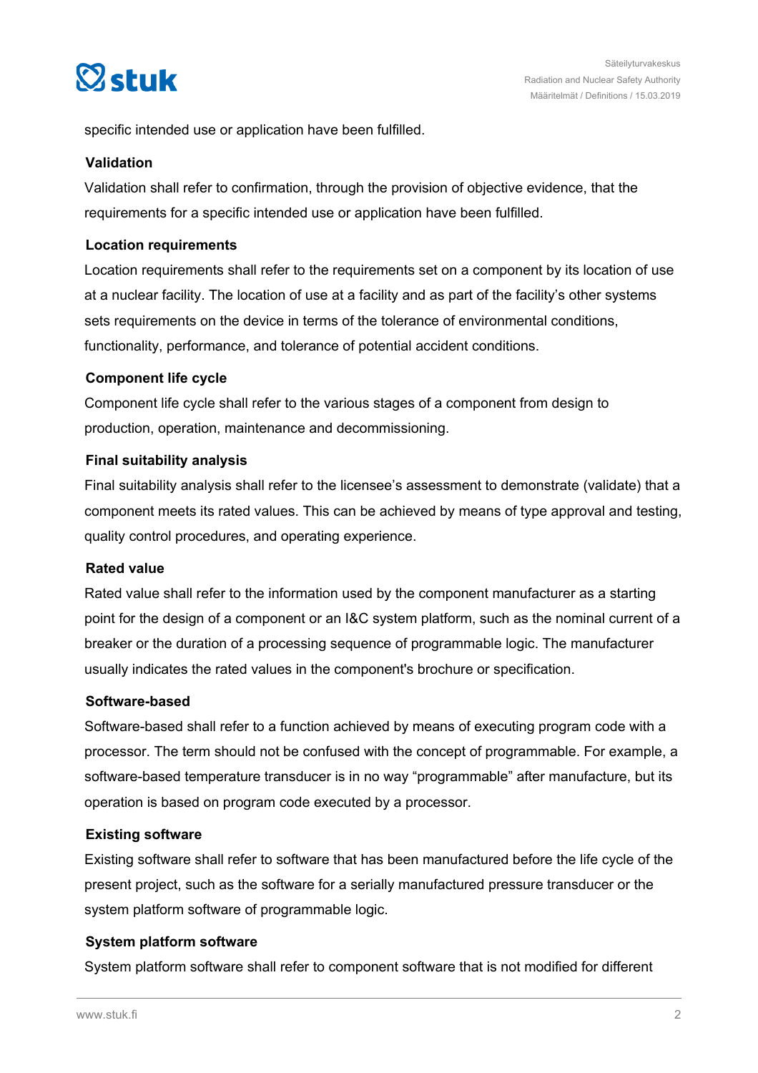

specific intended use or application have been fulfilled.

#### **Validation**

Validation shall refer to confirmation, through the provision of objective evidence, that the requirements for a specific intended use or application have been fulfilled.

### **Location requirements**

Location requirements shall refer to the requirements set on a component by its location of use at a nuclear facility. The location of use at a facility and as part of the facility's other systems sets requirements on the device in terms of the tolerance of environmental conditions, functionality, performance, and tolerance of potential accident conditions.

### **Component life cycle**

Component life cycle shall refer to the various stages of a component from design to production, operation, maintenance and decommissioning.

### **Final suitability analysis**

Final suitability analysis shall refer to the licensee's assessment to demonstrate (validate) that a component meets its rated values. This can be achieved by means of type approval and testing, quality control procedures, and operating experience.

#### **Rated value**

Rated value shall refer to the information used by the component manufacturer as a starting point for the design of a component or an I&C system platform, such as the nominal current of a breaker or the duration of a processing sequence of programmable logic. The manufacturer usually indicates the rated values in the component's brochure or specification.

#### **Software-based**

Software-based shall refer to a function achieved by means of executing program code with a processor. The term should not be confused with the concept of programmable. For example, a software-based temperature transducer is in no way "programmable" after manufacture, but its operation is based on program code executed by a processor.

#### **Existing software**

Existing software shall refer to software that has been manufactured before the life cycle of the present project, such as the software for a serially manufactured pressure transducer or the system platform software of programmable logic.

### **System platform software**

System platform software shall refer to component software that is not modified for different